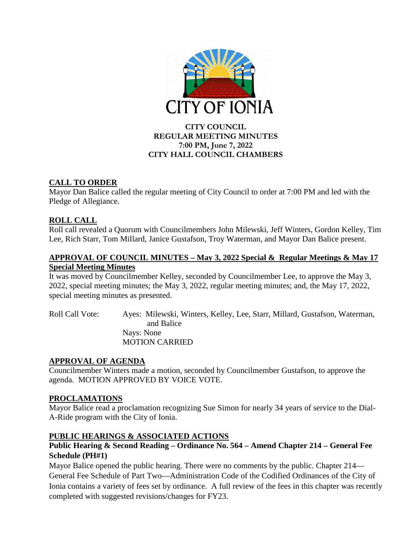

# **CITY COUNCIL REGULAR MEETING MINUTES 7:00 PM, June 7, 2022 CITY HALL COUNCIL CHAMBERS**

# **CALL TO ORDER**

Mayor Dan Balice called the regular meeting of City Council to order at 7:00 PM and led with the Pledge of Allegiance.

# **ROLL CALL**

Roll call revealed a Quorum with Councilmembers John Milewski, Jeff Winters, Gordon Kelley, Tim Lee, Rich Starr, Tom Millard, Janice Gustafson, Troy Waterman, and Mayor Dan Balice present.

# **APPROVAL OF COUNCIL MINUTES – May 3, 2022 Special & Regular Meetings & May 17 Special Meeting Minutes**

It was moved by Councilmember Kelley, seconded by Councilmember Lee, to approve the May 3, 2022, special meeting minutes; the May 3, 2022, regular meeting minutes; and, the May 17, 2022, special meeting minutes as presented.

Roll Call Vote: Ayes: Milewski, Winters, Kelley, Lee, Starr, Millard, Gustafson, Waterman, and Balice Nays: None MOTION CARRIED

# **APPROVAL OF AGENDA**

Councilmember Winters made a motion, seconded by Councilmember Gustafson, to approve the agenda. MOTION APPROVED BY VOICE VOTE.

# **PROCLAMATIONS**

Mayor Balice read a proclamation recognizing Sue Simon for nearly 34 years of service to the Dial-A-Ride program with the City of Ionia.

# **PUBLIC HEARINGS & ASSOCIATED ACTIONS**

# **Public Hearing & Second Reading – Ordinance No. 564 – Amend Chapter 214 – General Fee Schedule (PH#1)**

Mayor Balice opened the public hearing. There were no comments by the public. Chapter 214— General Fee Schedule of Part Two—Administration Code of the Codified Ordinances of the City of Ionia contains a variety of fees set by ordinance. A full review of the fees in this chapter was recently completed with suggested revisions/changes for FY23.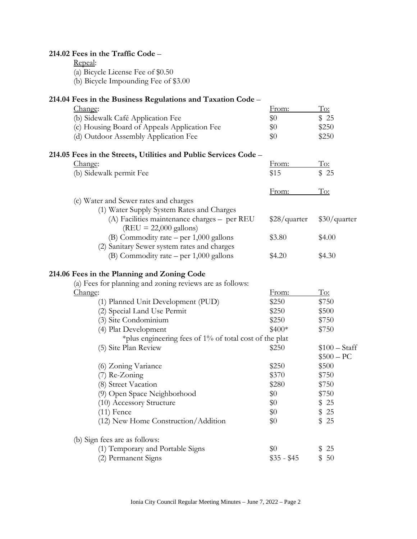| 214.02 Fees in the Traffic Code -<br>Repeal:<br>(a) Bicycle License Fee of \$0.50<br>(b) Bicycle Impounding Fee of \$3.00 |                |                               |
|---------------------------------------------------------------------------------------------------------------------------|----------------|-------------------------------|
|                                                                                                                           |                |                               |
| 214.04 Fees in the Business Regulations and Taxation Code –                                                               |                |                               |
| Change:                                                                                                                   | <u>From:</u>   | To:                           |
| (b) Sidewalk Café Application Fee                                                                                         | \$0            | \$25                          |
| (c) Housing Board of Appeals Application Fee                                                                              | \$0            | \$250                         |
| (d) Outdoor Assembly Application Fee                                                                                      | \$0            | \$250                         |
| 214.05 Fees in the Streets, Utilities and Public Services Code –                                                          |                |                               |
| Change:                                                                                                                   | <u>From:</u>   | To:                           |
| (b) Sidewalk permit Fee                                                                                                   | \$15           | \$25                          |
|                                                                                                                           |                |                               |
|                                                                                                                           | From:          | <u>To:</u>                    |
| (c) Water and Sewer rates and charges                                                                                     |                |                               |
| (1) Water Supply System Rates and Charges                                                                                 |                |                               |
| (A) Facilities maintenance charges - per REU<br>$(REU = 22,000$ gallons)                                                  | $$28/$ quarter | $$30/$ quarter                |
| (B) Commodity rate $-$ per 1,000 gallons                                                                                  | \$3.80         | \$4.00                        |
| (2) Sanitary Sewer system rates and charges                                                                               |                |                               |
| (B) Commodity rate $-$ per 1,000 gallons                                                                                  | \$4.20         | \$4.30                        |
| 214.06 Fees in the Planning and Zoning Code<br>(a) Fees for planning and zoning reviews are as follows:                   |                |                               |
| Change:                                                                                                                   | From:          | <u>To:</u>                    |
| (1) Planned Unit Development (PUD)                                                                                        | \$250          | \$750                         |
| (2) Special Land Use Permit                                                                                               | \$250          | \$500                         |
| (3) Site Condominium                                                                                                      | \$250          | \$750                         |
| (4) Plat Development                                                                                                      | $$400*$        | \$750                         |
| *plus engineering fees of $1\%$ of total cost of the plat                                                                 |                |                               |
| (5) Site Plan Review                                                                                                      | \$250          | $$100 - Staff$<br>$$500 - PC$ |
| (6) Zoning Variance                                                                                                       | \$250          | \$500                         |
| (7) Re-Zoning                                                                                                             | \$370          | \$750                         |
| (8) Street Vacation                                                                                                       | \$280          | \$750                         |
| (9) Open Space Neighborhood                                                                                               | \$0            | \$750                         |
| (10) Accessory Structure                                                                                                  | \$0            | \$25                          |
| $(11)$ Fence                                                                                                              | \$0            | \$25                          |
| (12) New Home Construction/Addition                                                                                       | \$0            | \$<br>25                      |
| (b) Sign fees are as follows:                                                                                             |                |                               |
| (1) Temporary and Portable Signs                                                                                          | \$0            | 25<br>\$                      |
| (2) Permanent Signs                                                                                                       | $$35 - $45$    | \$<br>50                      |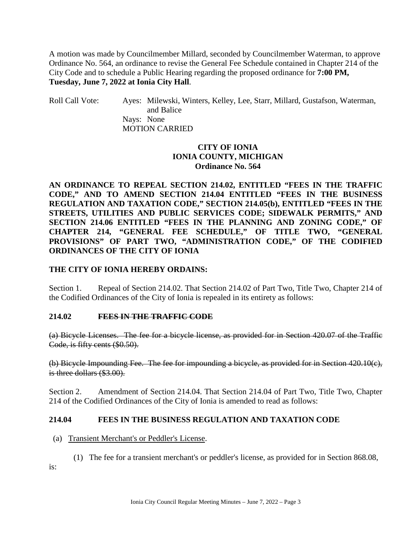A motion was made by Councilmember Millard, seconded by Councilmember Waterman, to approve Ordinance No. 564, an ordinance to revise the General Fee Schedule contained in Chapter 214 of the City Code and to schedule a Public Hearing regarding the proposed ordinance for **7:00 PM, Tuesday, June 7, 2022 at Ionia City Hall**.

Roll Call Vote: Ayes: Milewski, Winters, Kelley, Lee, Starr, Millard, Gustafson, Waterman, and Balice Nays: None MOTION CARRIED

# **CITY OF IONIA IONIA COUNTY, MICHIGAN Ordinance No. 564**

**AN ORDINANCE TO REPEAL SECTION 214.02, ENTITLED "FEES IN THE TRAFFIC CODE," AND TO AMEND SECTION 214.04 ENTITLED "FEES IN THE BUSINESS REGULATION AND TAXATION CODE," SECTION 214.05(b), ENTITLED "FEES IN THE STREETS, UTILITIES AND PUBLIC SERVICES CODE; SIDEWALK PERMITS," AND SECTION 214.06 ENTITLED "FEES IN THE PLANNING AND ZONING CODE," OF CHAPTER 214, "GENERAL FEE SCHEDULE," OF TITLE TWO, "GENERAL PROVISIONS" OF PART TWO, "ADMINISTRATION CODE," OF THE CODIFIED ORDINANCES OF THE CITY OF IONIA**

# **THE CITY OF IONIA HEREBY ORDAINS:**

Section 1. Repeal of Section 214.02. That Section 214.02 of Part Two, Title Two, Chapter 214 of the Codified Ordinances of the City of Ionia is repealed in its entirety as follows:

### **214.02 FEES IN THE TRAFFIC CODE**

(a) Bicycle Licenses. The fee for a bicycle license, as provided for in Section 420.07 of the Traffic Code, is fifty cents (\$0.50).

(b) Bicycle Impounding Fee. The fee for impounding a bicycle, as provided for in Section 420.10(c), is three dollars (\$3.00).

Section 2. Amendment of Section 214.04. That Section 214.04 of Part Two, Title Two, Chapter 214 of the Codified Ordinances of the City of Ionia is amended to read as follows:

### **214.04 FEES IN THE BUSINESS REGULATION AND TAXATION CODE**

#### (a) Transient Merchant's or Peddler's License.

(1) The fee for a transient merchant's or peddler's license, as provided for in Section [868.08,](https://codelibrary.amlegal.com/codes/ionia/latest/ionia_mi/0-0-0-25928#JD_868.08)

is: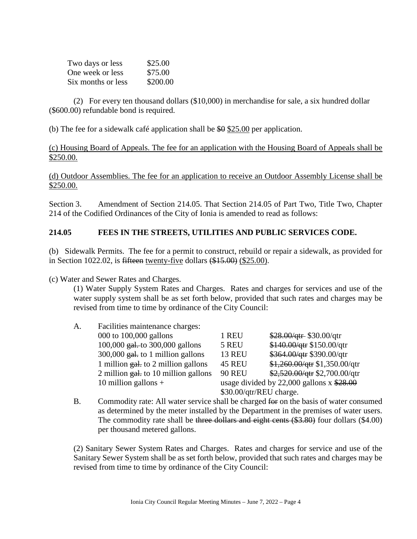| Two days or less   | \$25.00  |
|--------------------|----------|
| One week or less   | \$75.00  |
| Six months or less | \$200.00 |

(2) For every ten thousand dollars (\$10,000) in merchandise for sale, a six hundred dollar (\$600.00) refundable bond is required.

(b) The fee for a sidewalk café application shall be  $$9 \, $25.00$  per application.

### (c) Housing Board of Appeals. The fee for an application with the Housing Board of Appeals shall be \$250.00.

(d) Outdoor Assemblies. The fee for an application to receive an Outdoor Assembly License shall be \$250.00.

Section 3. Amendment of Section 214.05. That Section 214.05 of Part Two, Title Two, Chapter 214 of the Codified Ordinances of the City of Ionia is amended to read as follows:

# **214.05 FEES IN THE STREETS, UTILITIES AND PUBLIC SERVICES CODE.**

(b) Sidewalk Permits. The fee for a permit to construct, rebuild or repair a sidewalk, as provided for in Section 1022.02, is fifteen twenty-five dollars (\$15.00) (\$25.00).

(c) Water and Sewer Rates and Charges.

(1) Water Supply System Rates and Charges. Rates and charges for services and use of the water supply system shall be as set forth below, provided that such rates and charges may be revised from time to time by ordinance of the City Council:

| A. | Facilities maintenance charges:                  |                         |                                             |
|----|--------------------------------------------------|-------------------------|---------------------------------------------|
|    | 000 to 100,000 gallons                           | 1 REU                   | $$28.00/qtr$$ \$30.00/qtr                   |
|    | 100,000 $_{gal.+}$ to 300,000 gallons            | 5 REU                   | \$140.00/qtr \$150.00/qtr                   |
|    | $300,000$ gal. to 1 million gallons              | <b>13 REU</b>           | \$364.00/qtr \$390.00/qtr                   |
|    | 1 million $g_{ab}$ to 2 million gallons          | <b>45 REU</b>           | $$1,260.00$ /qtr $$1,350.00$ /qtr           |
|    | 2 million $g_{\text{alt}}$ to 10 million gallons | <b>90 REU</b>           | \$2,520.00/qtr \$2,700.00/qtr               |
|    | 10 million gallons $+$                           |                         | usage divided by 22,000 gallons $x$ \$28.00 |
|    |                                                  | \$30.00/qtr/REU charge. |                                             |

B. Commodity rate: All water service shall be charged for on the basis of water consumed as determined by the meter installed by the Department in the premises of water users. The commodity rate shall be three dollars and eight cents (\$3.80) four dollars (\$4.00) per thousand metered gallons.

(2) Sanitary Sewer System Rates and Charges. Rates and charges for service and use of the Sanitary Sewer System shall be as set forth below, provided that such rates and charges may be revised from time to time by ordinance of the City Council: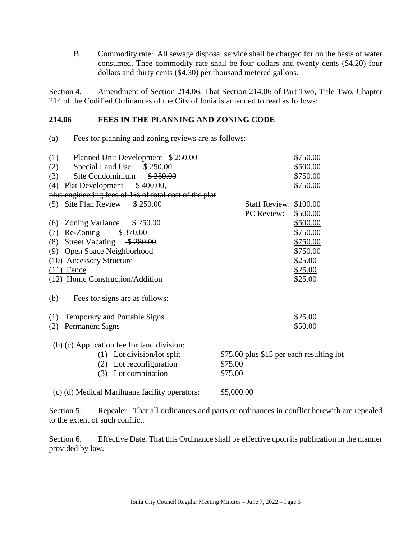B. Commodity rate: All sewage disposal service shall be charged for on the basis of water consumed. Thee commodity rate shall be four dollars and twenty cents (\$4.20) four dollars and thirty cents (\$4.30) per thousand metered gallons.

Section 4. Amendment of Section 214.06. That Section 214.06 of Part Two, Title Two, Chapter 214 of the Codified Ordinances of the City of Ionia is amended to read as follows:

## **214.06 FEES IN THE PLANNING AND ZONING CODE**

(a) Fees for planning and zoning reviews are as follows:

| (1)<br>Planned Unit Development \$250.00                          | \$750.00                                 |
|-------------------------------------------------------------------|------------------------------------------|
| Special Land Use<br>\$250.00<br>(2)                               | \$500.00                                 |
| Site Condominium<br>\$250.00<br>(3)                               | \$750.00                                 |
| \$400.00,<br>(4)<br>Plat Development                              | \$750.00                                 |
| plus engineering fees of 1% of total cost of the plat             |                                          |
| Site Plan Review<br>\$250.00<br>(5)                               | Staff Review: \$100.00                   |
|                                                                   | PC Review:<br>\$500.00                   |
| Zoning Variance<br>\$250.00<br>(6)                                | \$500.00                                 |
| Re-Zoning<br>\$370.00<br>(7)                                      | \$750.00                                 |
| <b>Street Vacating</b><br>\$280.00<br>(8)                         | \$750.00                                 |
| Open Space Neighborhood<br>(9)                                    | \$750.00                                 |
| (10)<br><b>Accessory Structure</b>                                | \$25.00                                  |
| $(11)$ Fence                                                      | \$25.00                                  |
| (12) Home Construction/Addition                                   | \$25.00                                  |
|                                                                   |                                          |
| (b)<br>Fees for signs are as follows:                             |                                          |
| (1)<br><b>Temporary and Portable Signs</b>                        | \$25.00                                  |
| <b>Permanent Signs</b><br>(2)                                     | \$50.00                                  |
|                                                                   |                                          |
| $\left(\frac{b}{c}\right)$ (c) Application fee for land division: |                                          |
| (1) Lot division/lot split                                        | \$75.00 plus \$15 per each resulting lot |
| (2) Lot reconfiguration                                           | \$75.00                                  |
| (3) Lot combination                                               | \$75.00                                  |
| (e) (d) Medical Marihuana facility operators:                     | \$5,000.00                               |

Section 5. Repealer. That all ordinances and parts or ordinances in conflict herewith are repealed to the extent of such conflict.

Section 6. Effective Date. That this Ordinance shall be effective upon its publication in the manner provided by law.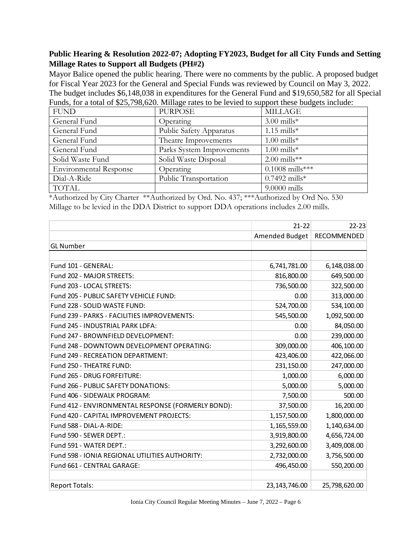# **Public Hearing & Resolution 2022-07; Adopting FY2023, Budget for all City Funds and Setting Millage Rates to Support all Budgets (PH#2)**

Mayor Balice opened the public hearing. There were no comments by the public. A proposed budget for Fiscal Year 2023 for the General and Special Funds was reviewed by Council on May 3, 2022. The budget includes \$6,148,038 in expenditures for the General Fund and \$19,650,582 for all Special Funds, for a total of \$25,798,620. Millage rates to be levied to support these budgets include:

| <b>FUND</b>                   | <b>PURPOSE</b>                 | <b>MILLAGE</b>    |
|-------------------------------|--------------------------------|-------------------|
| General Fund                  | Operating                      | $3.00$ mills*     |
| General Fund                  | <b>Public Safety Apparatus</b> | $1.15$ mills*     |
| General Fund                  | Theatre Improvements           | $1.00$ mills*     |
| General Fund                  | Parks System Improvements      | $1.00$ mills*     |
| Solid Waste Fund              | Solid Waste Disposal           | $2.00$ mills**    |
| <b>Environmental Response</b> | Operating                      | $0.1008$ mills*** |
| Dial-A-Ride                   | Public Transportation          | $0.7492$ mills*   |
| <b>TOTAL</b>                  |                                | $9.0000$ mills    |

\*Authorized by City Charter \*\*Authorized by Ord. No. 437; \*\*\*Authorized by Ord No. 530 Millage to be levied in the DDA District to support DDA operations includes 2.00 mills.

|                                                    | $21 - 22$      | $22 - 23$     |
|----------------------------------------------------|----------------|---------------|
|                                                    | Amended Budget | RECOMMENDED   |
| <b>GL</b> Number                                   |                |               |
|                                                    |                |               |
| Fund 101 - GENERAL:                                | 6,741,781.00   | 6,148,038.00  |
| Fund 202 - MAJOR STREETS:                          | 816,800.00     | 649,500.00    |
| Fund 203 - LOCAL STREETS:                          | 736,500.00     | 322,500.00    |
| Fund 205 - PUBLIC SAFETY VEHICLE FUND:             | 0.00           | 313,000.00    |
| Fund 228 - SOLID WASTE FUND:                       | 524,700.00     | 534,100.00    |
| Fund 239 - PARKS - FACILITIES IMPROVEMENTS:        | 545,500.00     | 1,092,500.00  |
| Fund 245 - INDUSTRIAL PARK LDFA:                   | 0.00           | 84,050.00     |
| Fund 247 - BROWNFIELD DEVELOPMENT:                 | 0.00           | 239,000.00    |
| Fund 248 - DOWNTOWN DEVELOPMENT OPERATING:         | 309,000.00     | 406,100.00    |
| Fund 249 - RECREATION DEPARTMENT:                  | 423,406.00     | 422,066.00    |
| Fund 250 - THEATRE FUND:                           | 231,150.00     | 247,000.00    |
| Fund 265 - DRUG FORFEITURE:                        | 1,000.00       | 6,000.00      |
| Fund 266 - PUBLIC SAFETY DONATIONS:                | 5,000.00       | 5,000.00      |
| Fund 406 - SIDEWALK PROGRAM:                       | 7,500.00       | 500.00        |
| Fund 412 - ENVIRONMENTAL RESPONSE (FORMERLY BOND): | 37,500.00      | 16,200.00     |
| Fund 420 - CAPITAL IMPROVEMENT PROJECTS:           | 1,157,500.00   | 1,800,000.00  |
| Fund 588 - DIAL-A-RIDE:                            | 1,165,559.00   | 1,140,634.00  |
| Fund 590 - SEWER DEPT.:                            | 3,919,800.00   | 4,656,724.00  |
| Fund 591 - WATER DEPT.:                            | 3,292,600.00   | 3,409,008.00  |
| Fund 598 - IONIA REGIONAL UTILITIES AUTHORITY:     | 2,732,000.00   | 3,756,500.00  |
| Fund 661 - CENTRAL GARAGE:                         | 496,450.00     | 550,200.00    |
|                                                    |                |               |
| <b>Report Totals:</b>                              | 23,143,746.00  | 25,798,620.00 |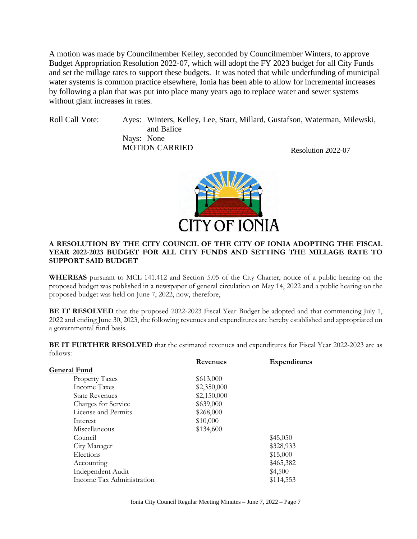A motion was made by Councilmember Kelley, seconded by Councilmember Winters, to approve Budget Appropriation Resolution 2022-07, which will adopt the FY 2023 budget for all City Funds and set the millage rates to support these budgets. It was noted that while underfunding of municipal water systems is common practice elsewhere, Ionia has been able to allow for incremental increases by following a plan that was put into place many years ago to replace water and sewer systems without giant increases in rates.

Roll Call Vote: Ayes: Winters, Kelley, Lee, Starr, Millard, Gustafson, Waterman, Milewski, and Balice Nays: None MOTION CARRIED Resolution 2022-07



#### **A RESOLUTION BY THE CITY COUNCIL OF THE CITY OF IONIA ADOPTING THE FISCAL YEAR 2022-2023 BUDGET FOR ALL CITY FUNDS AND SETTING THE MILLAGE RATE TO SUPPORT SAID BUDGET**

**WHEREAS** pursuant to MCL 141.412 and Section 5.05 of the City Charter, notice of a public hearing on the proposed budget was published in a newspaper of general circulation on May 14, 2022 and a public hearing on the proposed budget was held on June 7, 2022, now, therefore,

**BE IT RESOLVED** that the proposed 2022-2023 Fiscal Year Budget be adopted and that commencing July 1, 2022 and ending June 30, 2023, the following revenues and expenditures are hereby established and appropriated on a governmental fund basis.

**BE IT FURTHER RESOLVED** that the estimated revenues and expenditures for Fiscal Year 2022-2023 are as follows:

|                           | Revenues    | <b>Expenditures</b> |
|---------------------------|-------------|---------------------|
| General Fund              |             |                     |
| <b>Property Taxes</b>     | \$613,000   |                     |
| Income Taxes              | \$2,350,000 |                     |
| <b>State Revenues</b>     | \$2,150,000 |                     |
| Charges for Service       | \$639,000   |                     |
| License and Permits       | \$268,000   |                     |
| Interest                  | \$10,000    |                     |
| Miscellaneous             | \$134,600   |                     |
| Council                   |             | \$45,050            |
| City Manager              |             | \$328,933           |
| Elections                 |             | \$15,000            |
| Accounting                |             | \$465,382           |
| Independent Audit         |             | \$4,500             |
| Income Tax Administration |             | \$114,553           |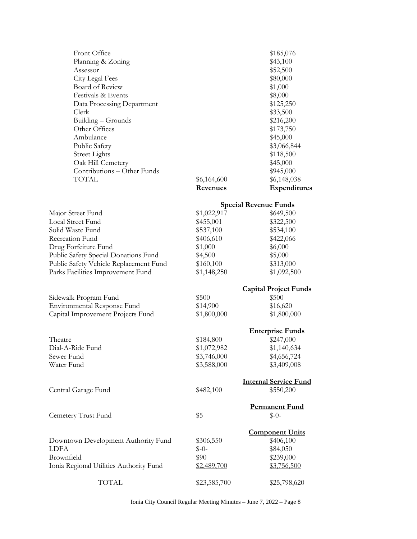| Front Office                            |                    | \$185,076                    |
|-----------------------------------------|--------------------|------------------------------|
| Planning & Zoning                       |                    | \$43,100                     |
| Assessor                                |                    | \$52,500                     |
| City Legal Fees                         |                    | \$80,000                     |
| <b>Board of Review</b>                  |                    | \$1,000                      |
| Festivals & Events                      |                    | \$8,000                      |
|                                         |                    | \$125,250                    |
| Data Processing Department              |                    |                              |
| Clerk                                   |                    | \$33,500                     |
| Building – Grounds                      |                    | \$216,200                    |
| Other Offices                           |                    | \$173,750                    |
| Ambulance                               |                    | \$45,000                     |
| Public Safety                           |                    | \$3,066,844                  |
| <b>Street Lights</b>                    |                    | \$118,500                    |
| Oak Hill Cemetery                       |                    | \$45,000                     |
| Contributions - Other Funds             |                    | \$945,000                    |
| TOTAL                                   | \$6,164,600        | \$6,148,038                  |
|                                         | Revenues           | Expenditures                 |
|                                         |                    | <b>Special Revenue Funds</b> |
| Major Street Fund                       | \$1,022,917        | \$649,500                    |
| <b>Local Street Fund</b>                | \$455,001          | \$322,500                    |
| Solid Waste Fund                        | \$537,100          | \$534,100                    |
| Recreation Fund                         | \$406,610          | \$422,066                    |
| Drug Forfeiture Fund                    | \$1,000            | \$6,000                      |
| Public Safety Special Donations Fund    | \$4,500            | \$5,000                      |
| Public Safety Vehicle Replacement Fund  | \$160,100          | \$313,000                    |
|                                         | \$1,148,250        | \$1,092,500                  |
| Parks Facilities Improvement Fund       |                    |                              |
|                                         |                    | <b>Capital Project Funds</b> |
| Sidewalk Program Fund                   | \$500              | \$500                        |
| Environmental Response Fund             | \$14,900           | \$16,620                     |
| Capital Improvement Projects Fund       | \$1,800,000        | \$1,800,000                  |
|                                         |                    | <b>Enterprise Funds</b>      |
| Theatre                                 | \$184,800          | \$247,000                    |
| Dial-A-Ride Fund                        | \$1,072,982        | \$1,140,634                  |
| Sewer Fund                              | \$3,746,000        | \$4,656,724                  |
| Water Fund                              | \$3,588,000        | \$3,409,008                  |
|                                         |                    |                              |
|                                         |                    | <b>Internal Service Fund</b> |
| Central Garage Fund                     | \$482,100          | \$550,200                    |
|                                         |                    | <b>Permanent Fund</b>        |
| Cemetery Trust Fund                     | \$5                | $$-0-$                       |
|                                         |                    | <b>Component Units</b>       |
| Downtown Development Authority Fund     | \$306,550          | \$406,100                    |
| LDFA                                    | $$-0-$             | \$84,050                     |
| Brownfield                              | \$90               | \$239,000                    |
| Ionia Regional Utilities Authority Fund | <u>\$2,489,700</u> | \$3,756,500                  |
|                                         |                    |                              |
| <b>TOTAL</b>                            | \$23,585,700       | \$25,798,620                 |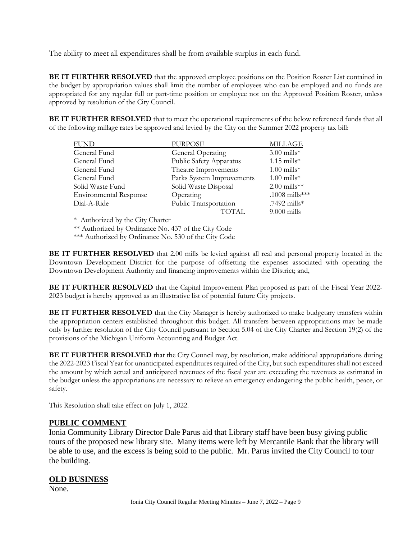The ability to meet all expenditures shall be from available surplus in each fund.

**BE IT FURTHER RESOLVED** that the approved employee positions on the Position Roster List contained in the budget by appropriation values shall limit the number of employees who can be employed and no funds are appropriated for any regular full or part-time position or employee not on the Approved Position Roster, unless approved by resolution of the City Council.

**BE IT FURTHER RESOLVED** that to meet the operational requirements of the below referenced funds that all of the following millage rates be approved and levied by the City on the Summer 2022 property tax bill:

| <b>FUND</b>                   | <b>PURPOSE</b>            | <b>MILLAGE</b> |
|-------------------------------|---------------------------|----------------|
| General Fund                  | General Operating         | $3.00$ mills*  |
| General Fund                  | Public Safety Apparatus   | $1.15$ mills*  |
| General Fund                  | Theatre Improvements      | $1.00$ mills*  |
| General Fund                  | Parks System Improvements | $1.00$ mills*  |
| Solid Waste Fund              | Solid Waste Disposal      | $2.00$ mills** |
| <b>Environmental Response</b> | Operating                 | .1008 mills*** |
| Dial-A-Ride                   | Public Transportation     | .7492 mills*   |
|                               | <b>TOTAL</b>              | $9.000$ mills  |

\* Authorized by the City Charter

\*\* Authorized by Ordinance No. 437 of the City Code

\*\*\* Authorized by Ordinance No. 530 of the City Code

**BE IT FURTHER RESOLVED** that 2.00 mills be levied against all real and personal property located in the Downtown Development District for the purpose of offsetting the expenses associated with operating the Downtown Development Authority and financing improvements within the District; and,

**BE IT FURTHER RESOLVED** that the Capital Improvement Plan proposed as part of the Fiscal Year 2022-2023 budget is hereby approved as an illustrative list of potential future City projects.

**BE IT FURTHER RESOLVED** that the City Manager is hereby authorized to make budgetary transfers within the appropriation centers established throughout this budget. All transfers between appropriations may be made only by further resolution of the City Council pursuant to Section 5.04 of the City Charter and Section 19(2) of the provisions of the Michigan Uniform Accounting and Budget Act.

**BE IT FURTHER RESOLVED** that the City Council may, by resolution, make additional appropriations during the 2022-2023 Fiscal Year for unanticipated expenditures required of the City, but such expenditures shall not exceed the amount by which actual and anticipated revenues of the fiscal year are exceeding the revenues as estimated in the budget unless the appropriations are necessary to relieve an emergency endangering the public health, peace, or safety.

This Resolution shall take effect on July 1, 2022.

# **PUBLIC COMMENT**

Ionia Community Library Director Dale Parus aid that Library staff have been busy giving public tours of the proposed new library site. Many items were left by Mercantile Bank that the library will be able to use, and the excess is being sold to the public. Mr. Parus invited the City Council to tour the building.

### **OLD BUSINESS**

None.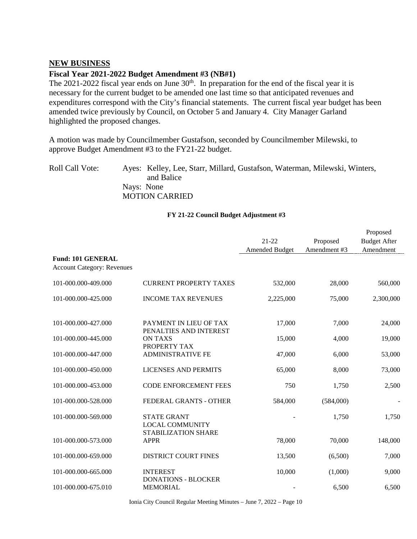#### **NEW BUSINESS**

#### **Fiscal Year 2021-2022 Budget Amendment #3 (NB#1)**

The 2021-2022 fiscal year ends on June  $30<sup>th</sup>$ . In preparation for the end of the fiscal year it is necessary for the current budget to be amended one last time so that anticipated revenues and expenditures correspond with the City's financial statements. The current fiscal year budget has been amended twice previously by Council, on October 5 and January 4. City Manager Garland highlighted the proposed changes.

A motion was made by Councilmember Gustafson, seconded by Councilmember Milewski, to approve Budget Amendment #3 to the FY21-22 budget.

Roll Call Vote: Ayes: Kelley, Lee, Starr, Millard, Gustafson, Waterman, Milewski, Winters, and Balice Nays: None MOTION CARRIED

#### **FY 21-22 Council Budget Adjustment #3**

|                                                               |                                                  |                       |              | Proposed            |
|---------------------------------------------------------------|--------------------------------------------------|-----------------------|--------------|---------------------|
|                                                               |                                                  | $21 - 22$             | Proposed     | <b>Budget After</b> |
|                                                               |                                                  | <b>Amended Budget</b> | Amendment #3 | Amendment           |
| <b>Fund: 101 GENERAL</b><br><b>Account Category: Revenues</b> |                                                  |                       |              |                     |
| 101-000.000-409.000                                           | <b>CURRENT PROPERTY TAXES</b>                    | 532,000               | 28,000       | 560,000             |
| 101-000.000-425.000                                           | <b>INCOME TAX REVENUES</b>                       | 2,225,000             | 75,000       | 2,300,000           |
| 101-000.000-427.000                                           | PAYMENT IN LIEU OF TAX<br>PENALTIES AND INTEREST | 17,000                | 7,000        | 24,000              |
| 101-000.000-445.000                                           | <b>ON TAXS</b><br>PROPERTY TAX                   | 15,000                | 4,000        | 19,000              |
| 101-000.000-447.000                                           | <b>ADMINISTRATIVE FE</b>                         | 47,000                | 6,000        | 53,000              |
| 101-000.000-450.000                                           | <b>LICENSES AND PERMITS</b>                      | 65,000                | 8,000        | 73,000              |
| 101-000.000-453.000                                           | <b>CODE ENFORCEMENT FEES</b>                     | 750                   | 1,750        | 2,500               |
| 101-000.000-528.000                                           | FEDERAL GRANTS - OTHER                           | 584,000               | (584,000)    |                     |
| 101-000.000-569.000                                           | <b>STATE GRANT</b><br><b>LOCAL COMMUNITY</b>     |                       | 1,750        | 1,750               |
| 101-000.000-573.000                                           | STABILIZATION SHARE<br><b>APPR</b>               | 78,000                | 70,000       | 148,000             |
| 101-000.000-659.000                                           | <b>DISTRICT COURT FINES</b>                      | 13,500                | (6,500)      | 7,000               |
| 101-000.000-665.000                                           | <b>INTEREST</b><br><b>DONATIONS - BLOCKER</b>    | 10,000                | (1,000)      | 9,000               |
| 101-000.000-675.010                                           | <b>MEMORIAL</b>                                  |                       | 6,500        | 6,500               |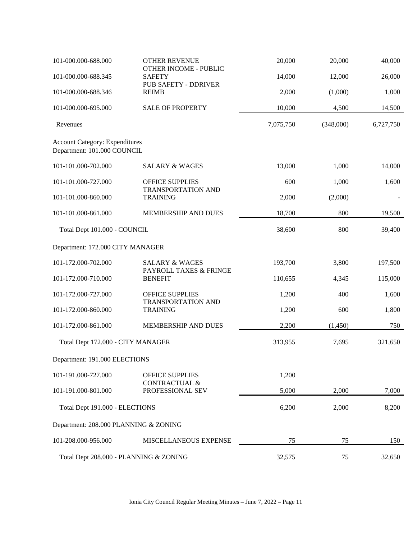| 101-000.000-688.000                                                  | <b>OTHER REVENUE</b>                                | 20,000    | 20,000    | 40,000    |
|----------------------------------------------------------------------|-----------------------------------------------------|-----------|-----------|-----------|
| 101-000.000-688.345                                                  | <b>OTHER INCOME - PUBLIC</b><br><b>SAFETY</b>       | 14,000    | 12,000    | 26,000    |
|                                                                      | PUB SAFETY - DDRIVER                                |           |           |           |
| 101-000.000-688.346                                                  | <b>REIMB</b>                                        | 2,000     | (1,000)   | 1,000     |
| 101-000.000-695.000                                                  | <b>SALE OF PROPERTY</b>                             | 10,000    | 4,500     | 14,500    |
| Revenues                                                             |                                                     | 7,075,750 | (348,000) | 6,727,750 |
| <b>Account Category: Expenditures</b><br>Department: 101.000 COUNCIL |                                                     |           |           |           |
| 101-101.000-702.000                                                  | <b>SALARY &amp; WAGES</b>                           | 13,000    | 1,000     | 14,000    |
| 101-101.000-727.000                                                  | <b>OFFICE SUPPLIES</b><br>TRANSPORTATION AND        | 600       | 1,000     | 1,600     |
| 101-101.000-860.000                                                  | <b>TRAINING</b>                                     | 2,000     | (2,000)   |           |
| 101-101.000-861.000                                                  | MEMBERSHIP AND DUES                                 | 18,700    | 800       | 19,500    |
| Total Dept 101.000 - COUNCIL                                         |                                                     | 38,600    | 800       | 39,400    |
| Department: 172.000 CITY MANAGER                                     |                                                     |           |           |           |
| 101-172.000-702.000                                                  | <b>SALARY &amp; WAGES</b><br>PAYROLL TAXES & FRINGE | 193,700   | 3,800     | 197,500   |
| 101-172.000-710.000                                                  | <b>BENEFIT</b>                                      | 110,655   | 4,345     | 115,000   |
| 101-172.000-727.000                                                  | <b>OFFICE SUPPLIES</b><br>TRANSPORTATION AND        | 1,200     | 400       | 1,600     |
| 101-172.000-860.000                                                  | <b>TRAINING</b>                                     | 1,200     | 600       | 1,800     |
| 101-172.000-861.000                                                  | MEMBERSHIP AND DUES                                 | 2,200     | (1,450)   | 750       |
| Total Dept 172.000 - CITY MANAGER                                    |                                                     | 313,955   | 7,695     | 321,650   |
| Department: 191.000 ELECTIONS                                        |                                                     |           |           |           |
| 101-191.000-727.000                                                  | <b>OFFICE SUPPLIES</b><br><b>CONTRACTUAL &amp;</b>  | 1,200     |           |           |
| 101-191.000-801.000                                                  | PROFESSIONAL SEV                                    | 5,000     | 2,000     | 7,000     |
| Total Dept 191.000 - ELECTIONS                                       |                                                     | 6,200     | 2,000     | 8,200     |
| Department: 208.000 PLANNING & ZONING                                |                                                     |           |           |           |
| 101-208.000-956.000                                                  | MISCELLANEOUS EXPENSE                               | 75        | 75        | 150       |
| Total Dept 208.000 - PLANNING & ZONING                               |                                                     | 32,575    | 75        | 32,650    |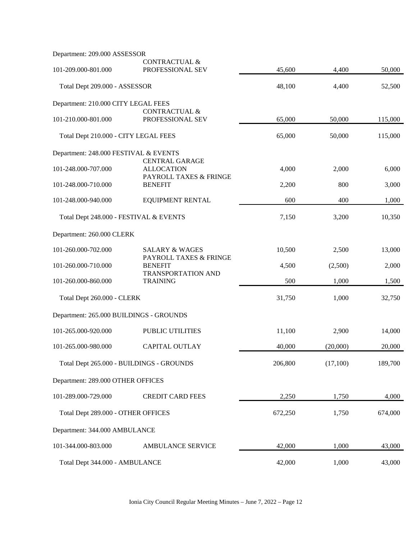| Department: 209.000 ASSESSOR            |                                                                       |         |          |         |
|-----------------------------------------|-----------------------------------------------------------------------|---------|----------|---------|
| 101-209.000-801.000                     | CONTRACTUAL &<br>PROFESSIONAL SEV                                     | 45,600  | 4,400    | 50,000  |
| Total Dept 209.000 - ASSESSOR           |                                                                       | 48,100  | 4,400    | 52,500  |
| Department: 210.000 CITY LEGAL FEES     |                                                                       |         |          |         |
| 101-210.000-801.000                     | CONTRACTUAL &<br>PROFESSIONAL SEV                                     | 65,000  | 50,000   | 115,000 |
| Total Dept 210.000 - CITY LEGAL FEES    |                                                                       | 65,000  | 50,000   | 115,000 |
| Department: 248.000 FESTIVAL & EVENTS   |                                                                       |         |          |         |
| 101-248.000-707.000                     | <b>CENTRAL GARAGE</b><br><b>ALLOCATION</b><br>PAYROLL TAXES & FRINGE  | 4,000   | 2,000    | 6,000   |
| 101-248.000-710.000                     | <b>BENEFIT</b>                                                        | 2,200   | 800      | 3,000   |
| 101-248.000-940.000                     | <b>EQUIPMENT RENTAL</b>                                               | 600     | 400      | 1,000   |
| Total Dept 248.000 - FESTIVAL & EVENTS  |                                                                       | 7,150   | 3,200    | 10,350  |
| Department: 260.000 CLERK               |                                                                       |         |          |         |
| 101-260.000-702.000                     | <b>SALARY &amp; WAGES</b>                                             | 10,500  | 2,500    | 13,000  |
| 101-260.000-710.000                     | PAYROLL TAXES & FRINGE<br><b>BENEFIT</b><br><b>TRANSPORTATION AND</b> | 4,500   | (2,500)  | 2,000   |
| 101-260.000-860.000                     | <b>TRAINING</b>                                                       | 500     | 1,000    | 1,500   |
| Total Dept 260.000 - CLERK              |                                                                       | 31,750  | 1,000    | 32,750  |
| Department: 265.000 BUILDINGS - GROUNDS |                                                                       |         |          |         |
| 101-265.000-920.000                     | PUBLIC UTILITIES                                                      | 11,100  | 2,900    | 14,000  |
| 101-265.000-980.000                     | <b>CAPITAL OUTLAY</b>                                                 | 40,000  | (20,000) | 20,000  |
|                                         | Total Dept 265.000 - BUILDINGS - GROUNDS                              | 206,800 | (17,100) | 189,700 |
| Department: 289.000 OTHER OFFICES       |                                                                       |         |          |         |
| 101-289.000-729.000                     | <b>CREDIT CARD FEES</b>                                               | 2,250   | 1,750    | 4,000   |
| Total Dept 289.000 - OTHER OFFICES      |                                                                       | 672,250 | 1,750    | 674,000 |
| Department: 344.000 AMBULANCE           |                                                                       |         |          |         |
| 101-344.000-803.000                     | AMBULANCE SERVICE                                                     | 42,000  | 1,000    | 43,000  |
| Total Dept 344.000 - AMBULANCE          |                                                                       | 42,000  | 1,000    | 43,000  |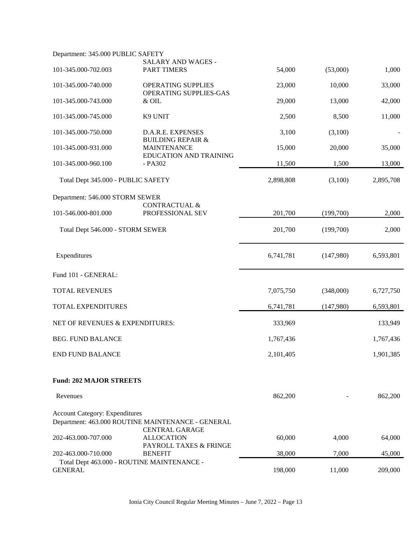| Department: 345.000 PUBLIC SAFETY     |                                                                            |           |           |           |
|---------------------------------------|----------------------------------------------------------------------------|-----------|-----------|-----------|
| 101-345.000-702.003                   | SALARY AND WAGES -<br><b>PART TIMERS</b>                                   | 54,000    | (53,000)  | 1,000     |
| 101-345.000-740.000                   | <b>OPERATING SUPPLIES</b><br>OPERATING SUPPLIES-GAS                        | 23,000    | 10,000    | 33,000    |
| 101-345.000-743.000                   | & OIL                                                                      | 29,000    | 13,000    | 42,000    |
| 101-345.000-745.000                   | K9 UNIT                                                                    | 2,500     | 8,500     | 11,000    |
| 101-345.000-750.000                   | D.A.R.E. EXPENSES<br><b>BUILDING REPAIR &amp;</b>                          | 3,100     | (3,100)   |           |
| 101-345.000-931.000                   | <b>MAINTENANCE</b><br><b>EDUCATION AND TRAINING</b>                        | 15,000    | 20,000    | 35,000    |
| 101-345.000-960.100                   | - PA302                                                                    | 11,500    | 1,500     | 13,000    |
| Total Dept 345.000 - PUBLIC SAFETY    |                                                                            | 2,898,808 | (3,100)   | 2,895,708 |
| Department: 546.000 STORM SEWER       |                                                                            |           |           |           |
| 101-546.000-801.000                   | <b>CONTRACTUAL &amp;</b><br>PROFESSIONAL SEV                               | 201,700   | (199,700) | 2,000     |
| Total Dept 546.000 - STORM SEWER      |                                                                            | 201,700   | (199,700) | 2,000     |
| Expenditures                          |                                                                            | 6,741,781 | (147,980) | 6,593,801 |
| Fund 101 - GENERAL:                   |                                                                            |           |           |           |
| <b>TOTAL REVENUES</b>                 |                                                                            | 7,075,750 | (348,000) | 6,727,750 |
| TOTAL EXPENDITURES                    |                                                                            | 6,741,781 | (147,980) | 6,593,801 |
| NET OF REVENUES & EXPENDITURES:       |                                                                            | 333,969   |           | 133,949   |
| <b>BEG. FUND BALANCE</b>              |                                                                            | 1,767,436 |           | 1,767,436 |
| <b>END FUND BALANCE</b>               |                                                                            | 2,101,405 |           | 1,901,385 |
| <b>Fund: 202 MAJOR STREETS</b>        |                                                                            |           |           |           |
| Revenues                              |                                                                            | 862,200   |           | 862,200   |
| <b>Account Category: Expenditures</b> | Department: 463.000 ROUTINE MAINTENANCE - GENERAL<br><b>CENTRAL GARAGE</b> |           |           |           |
| 202-463.000-707.000                   | <b>ALLOCATION</b><br>PAYROLL TAXES & FRINGE                                | 60,000    | 4,000     | 64,000    |
| 202-463.000-710.000                   | <b>BENEFIT</b>                                                             | 38,000    | 7,000     | 45,000    |
| <b>GENERAL</b>                        | Total Dept 463.000 - ROUTINE MAINTENANCE -                                 | 198,000   | 11,000    | 209,000   |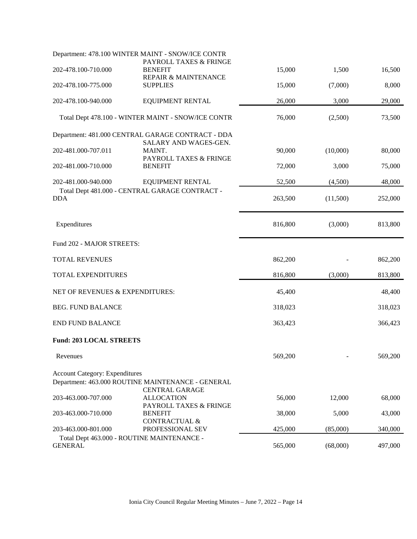|                                       | Department: 478.100 WINTER MAINT - SNOW/ICE CONTR                          |         |          |         |
|---------------------------------------|----------------------------------------------------------------------------|---------|----------|---------|
| 202-478.100-710.000                   | PAYROLL TAXES & FRINGE<br><b>BENEFIT</b><br>REPAIR & MAINTENANCE           | 15,000  | 1,500    | 16,500  |
| 202-478.100-775.000                   | <b>SUPPLIES</b>                                                            | 15,000  | (7,000)  | 8,000   |
| 202-478.100-940.000                   | <b>EQUIPMENT RENTAL</b>                                                    | 26,000  | 3,000    | 29,000  |
|                                       | Total Dept 478.100 - WINTER MAINT - SNOW/ICE CONTR                         | 76,000  | (2,500)  | 73,500  |
|                                       | Department: 481.000 CENTRAL GARAGE CONTRACT - DDA                          |         |          |         |
| 202-481.000-707.011                   | SALARY AND WAGES-GEN.<br>MAINT.<br>PAYROLL TAXES & FRINGE                  | 90,000  | (10,000) | 80,000  |
| 202-481.000-710.000                   | <b>BENEFIT</b>                                                             | 72,000  | 3,000    | 75,000  |
| 202-481.000-940.000                   | <b>EQUIPMENT RENTAL</b>                                                    | 52,500  | (4,500)  | 48,000  |
| <b>DDA</b>                            | Total Dept 481.000 - CENTRAL GARAGE CONTRACT -                             | 263,500 | (11,500) | 252,000 |
| Expenditures                          |                                                                            | 816,800 | (3,000)  | 813,800 |
| Fund 202 - MAJOR STREETS:             |                                                                            |         |          |         |
| <b>TOTAL REVENUES</b>                 |                                                                            | 862,200 |          | 862,200 |
| TOTAL EXPENDITURES                    |                                                                            | 816,800 | (3,000)  | 813,800 |
| NET OF REVENUES & EXPENDITURES:       |                                                                            | 45,400  |          | 48,400  |
| <b>BEG. FUND BALANCE</b>              |                                                                            | 318,023 |          | 318,023 |
| <b>END FUND BALANCE</b>               |                                                                            | 363,423 |          | 366,423 |
| <b>Fund: 203 LOCAL STREETS</b>        |                                                                            |         |          |         |
| Revenues                              |                                                                            | 569,200 |          | 569,200 |
| <b>Account Category: Expenditures</b> |                                                                            |         |          |         |
|                                       | Department: 463.000 ROUTINE MAINTENANCE - GENERAL<br><b>CENTRAL GARAGE</b> |         |          |         |
| 203-463.000-707.000                   | <b>ALLOCATION</b><br>PAYROLL TAXES & FRINGE                                | 56,000  | 12,000   | 68,000  |
| 203-463.000-710.000                   | <b>BENEFIT</b>                                                             | 38,000  | 5,000    | 43,000  |
| 203-463.000-801.000                   | <b>CONTRACTUAL &amp;</b><br>PROFESSIONAL SEV                               | 425,000 | (85,000) | 340,000 |
| <b>GENERAL</b>                        | Total Dept 463.000 - ROUTINE MAINTENANCE -                                 | 565,000 | (68,000) | 497,000 |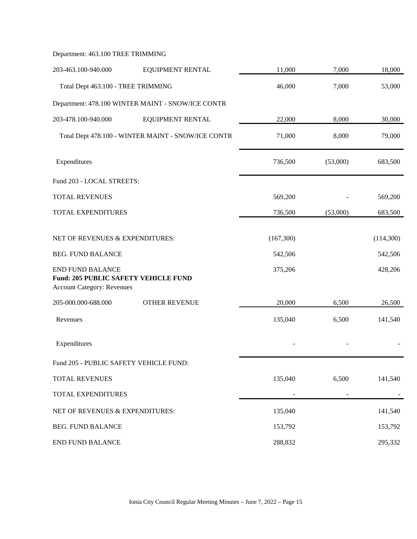| Department: 463.100 TREE TRIMMING |  |
|-----------------------------------|--|
|-----------------------------------|--|

| 203-463.100-940.000                                                                                         | <b>EQUIPMENT RENTAL</b>                            | 11,000    | 7,000    | 18,000    |
|-------------------------------------------------------------------------------------------------------------|----------------------------------------------------|-----------|----------|-----------|
| Total Dept 463.100 - TREE TRIMMING                                                                          |                                                    | 46,000    | 7,000    | 53,000    |
|                                                                                                             | Department: 478.100 WINTER MAINT - SNOW/ICE CONTR  |           |          |           |
| 203-478.100-940.000                                                                                         | <b>EQUIPMENT RENTAL</b>                            | 22,000    | 8,000    | 30,000    |
|                                                                                                             | Total Dept 478.100 - WINTER MAINT - SNOW/ICE CONTR | 71,000    | 8,000    | 79,000    |
| Expenditures                                                                                                |                                                    | 736,500   | (53,000) | 683,500   |
| Fund 203 - LOCAL STREETS:                                                                                   |                                                    |           |          |           |
| <b>TOTAL REVENUES</b>                                                                                       |                                                    | 569,200   |          | 569,200   |
| TOTAL EXPENDITURES                                                                                          |                                                    | 736,500   | (53,000) | 683,500   |
| NET OF REVENUES & EXPENDITURES:                                                                             |                                                    | (167,300) |          | (114,300) |
| <b>BEG. FUND BALANCE</b>                                                                                    |                                                    | 542,506   |          | 542,506   |
| <b>END FUND BALANCE</b><br><b>Fund: 205 PUBLIC SAFETY VEHICLE FUND</b><br><b>Account Category: Revenues</b> |                                                    | 375,206   |          | 428,206   |
| 205-000.000-688.000                                                                                         | <b>OTHER REVENUE</b>                               | 20,000    | 6,500    | 26,500    |
| Revenues                                                                                                    |                                                    | 135,040   | 6,500    | 141,540   |
| Expenditures                                                                                                |                                                    |           |          |           |
| Fund 205 - PUBLIC SAFETY VEHICLE FUND:                                                                      |                                                    |           |          |           |
| TOTAL REVENUES                                                                                              |                                                    | 135,040   | 6,500    | 141,540   |
| TOTAL EXPENDITURES                                                                                          |                                                    |           |          |           |
| NET OF REVENUES & EXPENDITURES:                                                                             |                                                    | 135,040   |          | 141,540   |
| <b>BEG. FUND BALANCE</b>                                                                                    |                                                    | 153,792   |          | 153,792   |
| <b>END FUND BALANCE</b>                                                                                     |                                                    | 288,832   |          | 295,332   |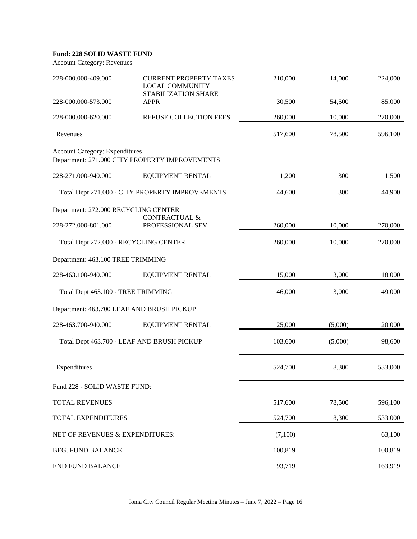#### **Fund: 228 SOLID WASTE FUND**

Account Category: Revenues

| 228-000.000-409.000                       | <b>CURRENT PROPERTY TAXES</b><br><b>LOCAL COMMUNITY</b><br>STABILIZATION SHARE | 210,000 | 14,000  | 224,000 |
|-------------------------------------------|--------------------------------------------------------------------------------|---------|---------|---------|
| 228-000.000-573.000                       | <b>APPR</b>                                                                    | 30,500  | 54,500  | 85,000  |
| 228-000.000-620.000                       | REFUSE COLLECTION FEES                                                         | 260,000 | 10,000  | 270,000 |
| Revenues                                  |                                                                                | 517,600 | 78,500  | 596,100 |
| <b>Account Category: Expenditures</b>     | Department: 271.000 CITY PROPERTY IMPROVEMENTS                                 |         |         |         |
| 228-271.000-940.000                       | <b>EQUIPMENT RENTAL</b>                                                        | 1,200   | 300     | 1,500   |
|                                           | Total Dept 271.000 - CITY PROPERTY IMPROVEMENTS                                | 44,600  | 300     | 44,900  |
| Department: 272.000 RECYCLING CENTER      | <b>CONTRACTUAL &amp;</b>                                                       |         |         |         |
| 228-272.000-801.000                       | PROFESSIONAL SEV                                                               | 260,000 | 10,000  | 270,000 |
| Total Dept 272.000 - RECYCLING CENTER     |                                                                                | 260,000 | 10,000  | 270,000 |
| Department: 463.100 TREE TRIMMING         |                                                                                |         |         |         |
| 228-463.100-940.000                       | <b>EQUIPMENT RENTAL</b>                                                        | 15,000  | 3,000   | 18,000  |
| Total Dept 463.100 - TREE TRIMMING        |                                                                                | 46,000  | 3,000   | 49,000  |
| Department: 463.700 LEAF AND BRUSH PICKUP |                                                                                |         |         |         |
| 228-463.700-940.000                       | <b>EQUIPMENT RENTAL</b>                                                        | 25,000  | (5,000) | 20,000  |
|                                           | Total Dept 463.700 - LEAF AND BRUSH PICKUP                                     | 103,600 | (5,000) | 98,600  |
| Expenditures                              |                                                                                | 524,700 | 8,300   | 533,000 |
| Fund 228 - SOLID WASTE FUND:              |                                                                                |         |         |         |
| TOTAL REVENUES                            |                                                                                | 517,600 | 78,500  | 596,100 |
| TOTAL EXPENDITURES                        |                                                                                | 524,700 | 8,300   | 533,000 |
| NET OF REVENUES & EXPENDITURES:           |                                                                                | (7,100) |         | 63,100  |
| <b>BEG. FUND BALANCE</b>                  |                                                                                | 100,819 |         | 100,819 |
| <b>END FUND BALANCE</b>                   |                                                                                | 93,719  |         | 163,919 |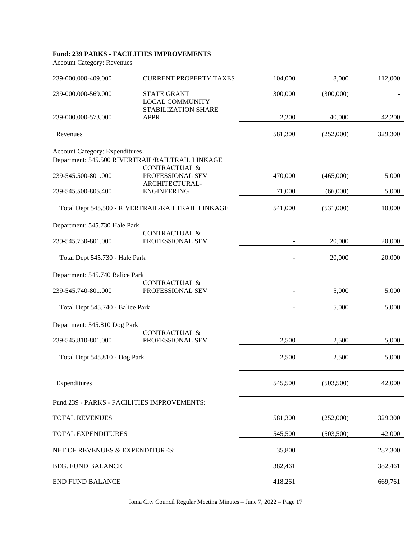### **Fund: 239 PARKS - FACILITIES IMPROVEMENTS**

Account Category: Revenues

| 239-000.000-409.000                         | <b>CURRENT PROPERTY TAXES</b>                                                | 104,000 | 8,000      | 112,000 |
|---------------------------------------------|------------------------------------------------------------------------------|---------|------------|---------|
| 239-000.000-569.000                         | <b>STATE GRANT</b><br><b>LOCAL COMMUNITY</b>                                 | 300,000 | (300,000)  |         |
| 239-000.000-573.000                         | STABILIZATION SHARE<br><b>APPR</b>                                           | 2,200   | 40,000     | 42,200  |
| Revenues                                    |                                                                              | 581,300 | (252,000)  | 329,300 |
| <b>Account Category: Expenditures</b>       | Department: 545.500 RIVERTRAIL/RAILTRAIL LINKAGE<br><b>CONTRACTUAL &amp;</b> |         |            |         |
| 239-545.500-801.000                         | PROFESSIONAL SEV<br>ARCHITECTURAL-                                           | 470,000 | (465,000)  | 5,000   |
| 239-545.500-805.400                         | <b>ENGINEERING</b>                                                           | 71,000  | (66,000)   | 5,000   |
|                                             | Total Dept 545.500 - RIVERTRAIL/RAILTRAIL LINKAGE                            | 541,000 | (531,000)  | 10,000  |
| Department: 545.730 Hale Park               |                                                                              |         |            |         |
| 239-545.730-801.000                         | CONTRACTUAL &<br>PROFESSIONAL SEV                                            |         | 20,000     | 20,000  |
| Total Dept 545.730 - Hale Park              |                                                                              |         | 20,000     | 20,000  |
| Department: 545.740 Balice Park             |                                                                              |         |            |         |
| 239-545.740-801.000                         | <b>CONTRACTUAL &amp;</b><br>PROFESSIONAL SEV                                 |         | 5,000      | 5,000   |
| Total Dept 545.740 - Balice Park            |                                                                              |         | 5,000      | 5,000   |
| Department: 545.810 Dog Park                |                                                                              |         |            |         |
| 239-545.810-801.000                         | <b>CONTRACTUAL &amp;</b><br>PROFESSIONAL SEV                                 | 2,500   | 2,500      | 5,000   |
| Total Dept 545.810 - Dog Park               |                                                                              | 2,500   | 2,500      | 5,000   |
| Expenditures                                |                                                                              | 545,500 | (503, 500) | 42,000  |
| Fund 239 - PARKS - FACILITIES IMPROVEMENTS: |                                                                              |         |            |         |
| TOTAL REVENUES                              |                                                                              | 581,300 | (252,000)  | 329,300 |
| TOTAL EXPENDITURES                          |                                                                              | 545,500 | (503, 500) | 42,000  |
| NET OF REVENUES & EXPENDITURES:             |                                                                              | 35,800  |            | 287,300 |
| <b>BEG. FUND BALANCE</b>                    |                                                                              | 382,461 |            | 382,461 |
| <b>END FUND BALANCE</b>                     |                                                                              | 418,261 |            | 669,761 |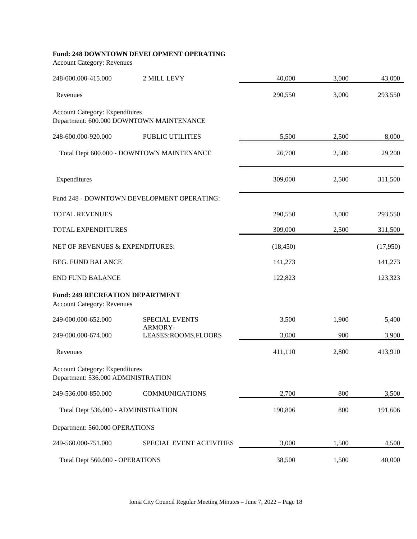### **Fund: 248 DOWNTOWN DEVELOPMENT OPERATING**

Account Category: Revenues

| 248-000.000-415.000                                                         | 2 MILL LEVY                                | 40,000    | 3,000 | 43,000   |
|-----------------------------------------------------------------------------|--------------------------------------------|-----------|-------|----------|
| Revenues                                                                    |                                            | 290,550   | 3,000 | 293,550  |
| <b>Account Category: Expenditures</b>                                       | Department: 600.000 DOWNTOWN MAINTENANCE   |           |       |          |
| 248-600.000-920.000                                                         | PUBLIC UTILITIES                           | 5,500     | 2,500 | 8,000    |
|                                                                             | Total Dept 600.000 - DOWNTOWN MAINTENANCE  | 26,700    | 2,500 | 29,200   |
| Expenditures                                                                |                                            | 309,000   | 2,500 | 311,500  |
|                                                                             | Fund 248 - DOWNTOWN DEVELOPMENT OPERATING: |           |       |          |
| TOTAL REVENUES                                                              |                                            | 290,550   | 3,000 | 293,550  |
| <b>TOTAL EXPENDITURES</b>                                                   |                                            | 309,000   | 2,500 | 311,500  |
| NET OF REVENUES & EXPENDITURES:                                             |                                            | (18, 450) |       | (17,950) |
| <b>BEG. FUND BALANCE</b>                                                    |                                            | 141,273   |       | 141,273  |
| <b>END FUND BALANCE</b>                                                     |                                            | 122,823   |       | 123,323  |
| <b>Fund: 249 RECREATION DEPARTMENT</b><br><b>Account Category: Revenues</b> |                                            |           |       |          |
| 249-000.000-652.000                                                         | <b>SPECIAL EVENTS</b>                      | 3,500     | 1,900 | 5,400    |
| 249-000.000-674.000                                                         | ARMORY-<br>LEASES:ROOMS,FLOORS             | 3,000     | 900   | 3,900    |
| Revenues                                                                    |                                            | 411,110   | 2,800 | 413,910  |
| <b>Account Category: Expenditures</b><br>Department: 536.000 ADMINISTRATION |                                            |           |       |          |
| 249-536.000-850.000                                                         | <b>COMMUNICATIONS</b>                      | 2,700     | 800   | 3,500    |
| Total Dept 536.000 - ADMINISTRATION                                         |                                            | 190,806   | 800   | 191,606  |
| Department: 560.000 OPERATIONS                                              |                                            |           |       |          |
| 249-560.000-751.000                                                         | SPECIAL EVENT ACTIVITIES                   | 3,000     | 1,500 | 4,500    |
| Total Dept 560.000 - OPERATIONS                                             |                                            | 38,500    | 1,500 | 40,000   |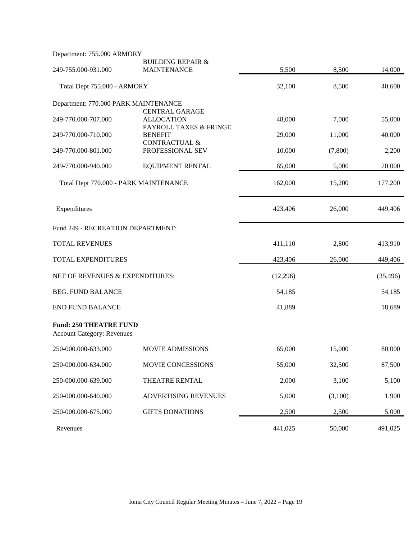| Department: 755.000 ARMORY                                         |                                                    |          |         |           |
|--------------------------------------------------------------------|----------------------------------------------------|----------|---------|-----------|
| 249-755.000-931.000                                                | <b>BUILDING REPAIR &amp;</b><br><b>MAINTENANCE</b> | 5,500    | 8,500   | 14,000    |
|                                                                    |                                                    |          |         |           |
| Total Dept 755.000 - ARMORY                                        |                                                    | 32,100   | 8,500   | 40,600    |
| Department: 770.000 PARK MAINTENANCE                               |                                                    |          |         |           |
| 249-770.000-707.000                                                | <b>CENTRAL GARAGE</b><br><b>ALLOCATION</b>         | 48,000   | 7,000   | 55,000    |
| 249-770.000-710.000                                                | PAYROLL TAXES & FRINGE<br><b>BENEFIT</b>           | 29,000   | 11,000  | 40,000    |
|                                                                    | <b>CONTRACTUAL &amp;</b>                           |          |         |           |
| 249-770.000-801.000                                                | PROFESSIONAL SEV                                   | 10,000   | (7,800) | 2,200     |
| 249-770.000-940.000                                                | <b>EQUIPMENT RENTAL</b>                            | 65,000   | 5,000   | 70,000    |
| Total Dept 770.000 - PARK MAINTENANCE                              |                                                    | 162,000  | 15,200  | 177,200   |
| Expenditures                                                       |                                                    | 423,406  | 26,000  | 449,406   |
| Fund 249 - RECREATION DEPARTMENT:                                  |                                                    |          |         |           |
| <b>TOTAL REVENUES</b>                                              |                                                    | 411,110  | 2,800   | 413,910   |
| TOTAL EXPENDITURES                                                 |                                                    | 423,406  | 26,000  | 449,406   |
| NET OF REVENUES & EXPENDITURES:                                    |                                                    | (12,296) |         | (35, 496) |
| <b>BEG. FUND BALANCE</b>                                           |                                                    | 54,185   |         | 54,185    |
| <b>END FUND BALANCE</b>                                            |                                                    | 41,889   |         | 18,689    |
| <b>Fund: 250 THEATRE FUND</b><br><b>Account Category: Revenues</b> |                                                    |          |         |           |
| 250-000.000-633.000                                                | <b>MOVIE ADMISSIONS</b>                            | 65,000   | 15,000  | 80,000    |
| 250-000.000-634.000                                                | MOVIE CONCESSIONS                                  | 55,000   | 32,500  | 87,500    |
| 250-000.000-639.000                                                | THEATRE RENTAL                                     | 2,000    | 3,100   | 5,100     |
| 250-000.000-640.000                                                | ADVERTISING REVENUES                               | 5,000    | (3,100) | 1,900     |
| 250-000.000-675.000                                                | <b>GIFTS DONATIONS</b>                             | 2,500    | 2,500   | 5,000     |
| Revenues                                                           |                                                    | 441,025  | 50,000  | 491,025   |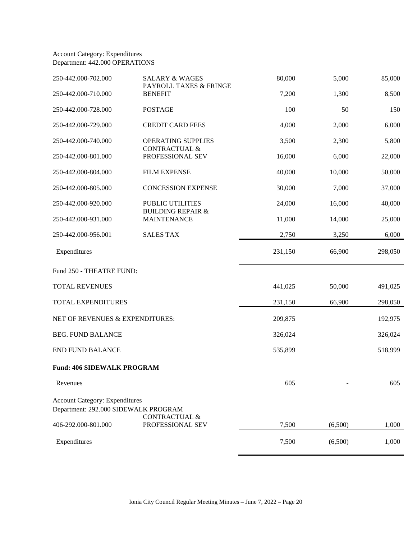### Account Category: Expenditures Department: 442.000 OPERATIONS

| 250-442.000-702.000                                                           | <b>SALARY &amp; WAGES</b><br>PAYROLL TAXES & FRINGE | 80,000  | 5,000   | 85,000  |
|-------------------------------------------------------------------------------|-----------------------------------------------------|---------|---------|---------|
| 250-442.000-710.000                                                           | <b>BENEFIT</b>                                      | 7,200   | 1,300   | 8,500   |
| 250-442.000-728.000                                                           | <b>POSTAGE</b>                                      | 100     | 50      | 150     |
| 250-442.000-729.000                                                           | <b>CREDIT CARD FEES</b>                             | 4,000   | 2,000   | 6,000   |
| 250-442.000-740.000                                                           | OPERATING SUPPLIES<br><b>CONTRACTUAL &amp;</b>      | 3,500   | 2,300   | 5,800   |
| 250-442.000-801.000                                                           | PROFESSIONAL SEV                                    | 16,000  | 6,000   | 22,000  |
| 250-442.000-804.000                                                           | <b>FILM EXPENSE</b>                                 | 40,000  | 10,000  | 50,000  |
| 250-442.000-805.000                                                           | <b>CONCESSION EXPENSE</b>                           | 30,000  | 7,000   | 37,000  |
| 250-442.000-920.000                                                           | PUBLIC UTILITIES                                    | 24,000  | 16,000  | 40,000  |
| 250-442.000-931.000                                                           | <b>BUILDING REPAIR &amp;</b><br><b>MAINTENANCE</b>  | 11,000  | 14,000  | 25,000  |
| 250-442.000-956.001                                                           | <b>SALES TAX</b>                                    | 2,750   | 3,250   | 6,000   |
| Expenditures                                                                  |                                                     | 231,150 | 66,900  | 298,050 |
| Fund 250 - THEATRE FUND:                                                      |                                                     |         |         |         |
| TOTAL REVENUES                                                                |                                                     | 441,025 | 50,000  | 491,025 |
| TOTAL EXPENDITURES                                                            |                                                     | 231,150 | 66,900  | 298,050 |
| NET OF REVENUES & EXPENDITURES:                                               |                                                     | 209,875 |         | 192,975 |
| <b>BEG. FUND BALANCE</b>                                                      |                                                     | 326,024 |         | 326,024 |
| <b>END FUND BALANCE</b>                                                       |                                                     | 535,899 |         | 518,999 |
| <b>Fund: 406 SIDEWALK PROGRAM</b>                                             |                                                     |         |         |         |
| Revenues                                                                      |                                                     | 605     |         | 605     |
| <b>Account Category: Expenditures</b><br>Department: 292.000 SIDEWALK PROGRAM |                                                     |         |         |         |
| 406-292.000-801.000                                                           | <b>CONTRACTUAL &amp;</b><br>PROFESSIONAL SEV        | 7,500   | (6,500) | 1,000   |
| Expenditures                                                                  |                                                     | 7,500   | (6,500) | 1,000   |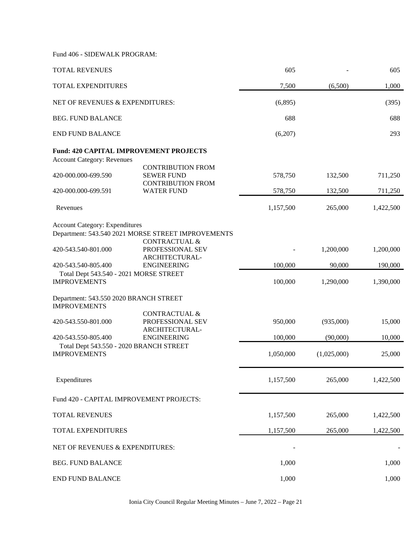Fund 406 - SIDEWALK PROGRAM:

| <b>TOTAL REVENUES</b>                                                              |                                                                           | 605       |             | 605       |
|------------------------------------------------------------------------------------|---------------------------------------------------------------------------|-----------|-------------|-----------|
| TOTAL EXPENDITURES                                                                 |                                                                           | 7,500     | (6,500)     | 1,000     |
| NET OF REVENUES & EXPENDITURES:                                                    |                                                                           | (6,895)   |             | (395)     |
| <b>BEG. FUND BALANCE</b>                                                           |                                                                           | 688       |             | 688       |
| <b>END FUND BALANCE</b>                                                            |                                                                           | (6,207)   |             | 293       |
| <b>Fund: 420 CAPITAL IMPROVEMENT PROJECTS</b><br><b>Account Category: Revenues</b> |                                                                           |           |             |           |
| 420-000.000-699.590                                                                | <b>CONTRIBUTION FROM</b><br><b>SEWER FUND</b><br><b>CONTRIBUTION FROM</b> | 578,750   | 132,500     | 711,250   |
| 420-000.000-699.591                                                                | <b>WATER FUND</b>                                                         | 578,750   | 132,500     | 711,250   |
| Revenues                                                                           |                                                                           | 1,157,500 | 265,000     | 1,422,500 |
| <b>Account Category: Expenditures</b>                                              | Department: 543.540 2021 MORSE STREET IMPROVEMENTS                        |           |             |           |
| 420-543.540-801.000                                                                | CONTRACTUAL &<br>PROFESSIONAL SEV<br>ARCHITECTURAL-                       |           | 1,200,000   | 1,200,000 |
| 420-543.540-805.400                                                                | <b>ENGINEERING</b>                                                        | 100,000   | 90,000      | 190,000   |
| Total Dept 543.540 - 2021 MORSE STREET<br><b>IMPROVEMENTS</b>                      |                                                                           | 100,000   | 1,290,000   | 1,390,000 |
| Department: 543.550 2020 BRANCH STREET<br><b>IMPROVEMENTS</b>                      |                                                                           |           |             |           |
| 420-543.550-801.000                                                                | <b>CONTRACTUAL &amp;</b><br>PROFESSIONAL SEV                              | 950,000   | (935,000)   | 15,000    |
| 420-543.550-805.400                                                                | ARCHITECTURAL-<br><b>ENGINEERING</b>                                      | 100,000   | (90,000)    | 10,000    |
| Total Dept 543.550 - 2020 BRANCH STREET<br><b>IMPROVEMENTS</b>                     |                                                                           | 1,050,000 | (1,025,000) | 25,000    |
| Expenditures                                                                       |                                                                           | 1,157,500 | 265,000     | 1,422,500 |
| Fund 420 - CAPITAL IMPROVEMENT PROJECTS:                                           |                                                                           |           |             |           |
| TOTAL REVENUES                                                                     |                                                                           | 1,157,500 | 265,000     | 1,422,500 |
| TOTAL EXPENDITURES                                                                 |                                                                           | 1,157,500 | 265,000     | 1,422,500 |
| NET OF REVENUES & EXPENDITURES:                                                    |                                                                           |           |             |           |
| <b>BEG. FUND BALANCE</b>                                                           |                                                                           | 1,000     |             | 1,000     |
| <b>END FUND BALANCE</b>                                                            |                                                                           | 1,000     |             | 1,000     |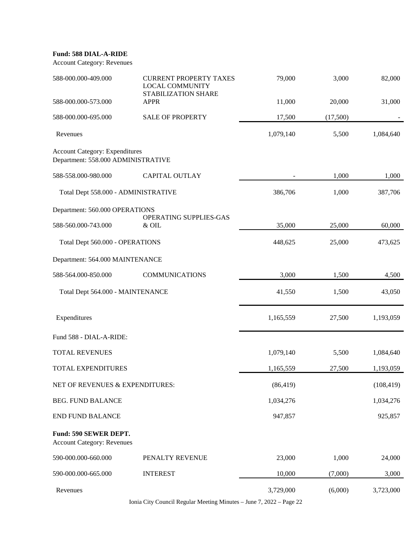### **Fund: 588 DIAL-A-RIDE**

Account Category: Revenues

| 588-000.000-409.000                                                         | <b>CURRENT PROPERTY TAXES</b><br><b>LOCAL COMMUNITY</b><br><b>STABILIZATION SHARE</b> | 79,000    | 3,000    | 82,000     |
|-----------------------------------------------------------------------------|---------------------------------------------------------------------------------------|-----------|----------|------------|
| 588-000.000-573.000                                                         | <b>APPR</b>                                                                           | 11,000    | 20,000   | 31,000     |
| 588-000.000-695.000                                                         | <b>SALE OF PROPERTY</b>                                                               | 17,500    | (17,500) |            |
| Revenues                                                                    |                                                                                       | 1,079,140 | 5,500    | 1,084,640  |
| <b>Account Category: Expenditures</b><br>Department: 558.000 ADMINISTRATIVE |                                                                                       |           |          |            |
| 588-558.000-980.000                                                         | <b>CAPITAL OUTLAY</b>                                                                 |           | 1,000    | 1,000      |
| Total Dept 558.000 - ADMINISTRATIVE                                         |                                                                                       | 386,706   | 1,000    | 387,706    |
| Department: 560.000 OPERATIONS                                              |                                                                                       |           |          |            |
| 588-560.000-743.000                                                         | OPERATING SUPPLIES-GAS<br>& OIL                                                       | 35,000    | 25,000   | 60,000     |
| Total Dept 560.000 - OPERATIONS                                             |                                                                                       | 448,625   | 25,000   | 473,625    |
| Department: 564.000 MAINTENANCE                                             |                                                                                       |           |          |            |
| 588-564.000-850.000                                                         | <b>COMMUNICATIONS</b>                                                                 | 3,000     | 1,500    | 4,500      |
| Total Dept 564.000 - MAINTENANCE                                            |                                                                                       | 41,550    | 1,500    | 43,050     |
| Expenditures                                                                |                                                                                       | 1,165,559 | 27,500   | 1,193,059  |
| Fund 588 - DIAL-A-RIDE:                                                     |                                                                                       |           |          |            |
| <b>TOTAL REVENUES</b>                                                       |                                                                                       | 1,079,140 | 5,500    | 1,084,640  |
| TOTAL EXPENDITURES                                                          |                                                                                       | 1,165,559 | 27,500   | 1,193,059  |
| NET OF REVENUES & EXPENDITURES:                                             |                                                                                       | (86, 419) |          | (108, 419) |
| <b>BEG. FUND BALANCE</b>                                                    |                                                                                       | 1,034,276 |          | 1,034,276  |
| <b>END FUND BALANCE</b>                                                     |                                                                                       | 947,857   |          | 925,857    |
| Fund: 590 SEWER DEPT.<br><b>Account Category: Revenues</b>                  |                                                                                       |           |          |            |
| 590-000.000-660.000                                                         | PENALTY REVENUE                                                                       | 23,000    | 1,000    | 24,000     |
| 590-000.000-665.000                                                         | <b>INTEREST</b>                                                                       | 10,000    | (7,000)  | 3,000      |
| Revenues                                                                    |                                                                                       | 3,729,000 | (6,000)  | 3,723,000  |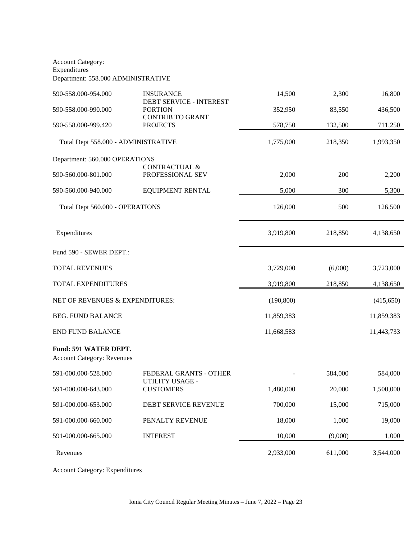Account Category: **Expenditures** Department: 558.000 ADMINISTRATIVE

| 590-558.000-954.000                                               | <b>INSURANCE</b><br>DEBT SERVICE - INTEREST  | 14,500     | 2,300   | 16,800     |
|-------------------------------------------------------------------|----------------------------------------------|------------|---------|------------|
| 590-558.000-990.000                                               | <b>PORTION</b><br><b>CONTRIB TO GRANT</b>    | 352,950    | 83,550  | 436,500    |
| 590-558.000-999.420                                               | <b>PROJECTS</b>                              | 578,750    | 132,500 | 711,250    |
| Total Dept 558.000 - ADMINISTRATIVE                               |                                              | 1,775,000  | 218,350 | 1,993,350  |
| Department: 560.000 OPERATIONS                                    |                                              |            |         |            |
| 590-560.000-801.000                                               | <b>CONTRACTUAL &amp;</b><br>PROFESSIONAL SEV | 2,000      | 200     | 2,200      |
| 590-560.000-940.000                                               | <b>EQUIPMENT RENTAL</b>                      | 5,000      | 300     | 5,300      |
| Total Dept 560.000 - OPERATIONS                                   |                                              | 126,000    | 500     | 126,500    |
| Expenditures                                                      |                                              | 3,919,800  | 218,850 | 4,138,650  |
| Fund 590 - SEWER DEPT.:                                           |                                              |            |         |            |
| <b>TOTAL REVENUES</b>                                             |                                              | 3,729,000  | (6,000) | 3,723,000  |
| TOTAL EXPENDITURES                                                |                                              | 3,919,800  | 218,850 | 4,138,650  |
| NET OF REVENUES & EXPENDITURES:                                   |                                              | (190, 800) |         | (415, 650) |
| <b>BEG. FUND BALANCE</b>                                          |                                              | 11,859,383 |         | 11,859,383 |
| <b>END FUND BALANCE</b>                                           |                                              | 11,668,583 |         | 11,443,733 |
| <b>Fund: 591 WATER DEPT.</b><br><b>Account Category: Revenues</b> |                                              |            |         |            |
| 591-000.000-528.000                                               | FEDERAL GRANTS - OTHER                       |            | 584,000 | 584,000    |
| 591-000.000-643.000                                               | UTILITY USAGE -<br><b>CUSTOMERS</b>          | 1,480,000  | 20,000  | 1,500,000  |
| 591-000.000-653.000                                               | DEBT SERVICE REVENUE                         | 700,000    | 15,000  | 715,000    |
| 591-000.000-660.000                                               | PENALTY REVENUE                              | 18,000     | 1,000   | 19,000     |
| 591-000.000-665.000                                               | <b>INTEREST</b>                              | 10,000     | (9,000) | 1,000      |
| Revenues                                                          |                                              | 2,933,000  | 611,000 | 3,544,000  |

Account Category: Expenditures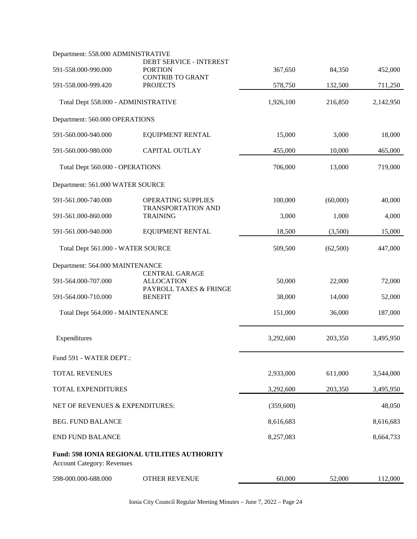| Department: 558.000 ADMINISTRATIVE  |                                                     |           |          |           |
|-------------------------------------|-----------------------------------------------------|-----------|----------|-----------|
| 591-558.000-990.000                 | DEBT SERVICE - INTEREST<br><b>PORTION</b>           | 367,650   | 84,350   | 452,000   |
| 591-558.000-999.420                 | <b>CONTRIB TO GRANT</b><br><b>PROJECTS</b>          | 578,750   | 132,500  | 711,250   |
|                                     |                                                     |           |          |           |
| Total Dept 558.000 - ADMINISTRATIVE |                                                     | 1,926,100 | 216,850  | 2,142,950 |
| Department: 560.000 OPERATIONS      |                                                     |           |          |           |
| 591-560.000-940.000                 | <b>EQUIPMENT RENTAL</b>                             | 15,000    | 3,000    | 18,000    |
| 591-560.000-980.000                 | <b>CAPITAL OUTLAY</b>                               | 455,000   | 10,000   | 465,000   |
| Total Dept 560.000 - OPERATIONS     |                                                     | 706,000   | 13,000   | 719,000   |
| Department: 561.000 WATER SOURCE    |                                                     |           |          |           |
| 591-561.000-740.000                 | OPERATING SUPPLIES                                  | 100,000   | (60,000) | 40,000    |
| 591-561.000-860.000                 | TRANSPORTATION AND<br><b>TRAINING</b>               | 3,000     | 1,000    | 4,000     |
| 591-561.000-940.000                 | <b>EQUIPMENT RENTAL</b>                             | 18,500    | (3,500)  | 15,000    |
| Total Dept 561.000 - WATER SOURCE   |                                                     | 509,500   | (62,500) | 447,000   |
| Department: 564.000 MAINTENANCE     |                                                     |           |          |           |
| 591-564.000-707.000                 | <b>CENTRAL GARAGE</b><br><b>ALLOCATION</b>          | 50,000    | 22,000   | 72,000    |
| 591-564.000-710.000                 | PAYROLL TAXES & FRINGE<br><b>BENEFIT</b>            | 38,000    | 14,000   | 52,000    |
| Total Dept 564.000 - MAINTENANCE    |                                                     | 151,000   | 36,000   | 187,000   |
| Expenditures                        |                                                     | 3,292,600 | 203,350  | 3,495,950 |
|                                     |                                                     |           |          |           |
| Fund 591 - WATER DEPT.:             |                                                     |           |          |           |
| TOTAL REVENUES                      |                                                     | 2,933,000 | 611,000  | 3,544,000 |
| TOTAL EXPENDITURES                  |                                                     | 3,292,600 | 203,350  | 3,495,950 |
| NET OF REVENUES & EXPENDITURES:     |                                                     | (359,600) |          | 48,050    |
| <b>BEG. FUND BALANCE</b>            |                                                     | 8,616,683 |          | 8,616,683 |
| <b>END FUND BALANCE</b>             |                                                     | 8,257,083 |          | 8,664,733 |
| <b>Account Category: Revenues</b>   | <b>Fund: 598 IONIA REGIONAL UTILITIES AUTHORITY</b> |           |          |           |
| 598-000.000-688.000                 | <b>OTHER REVENUE</b>                                | 60,000    | 52,000   | 112,000   |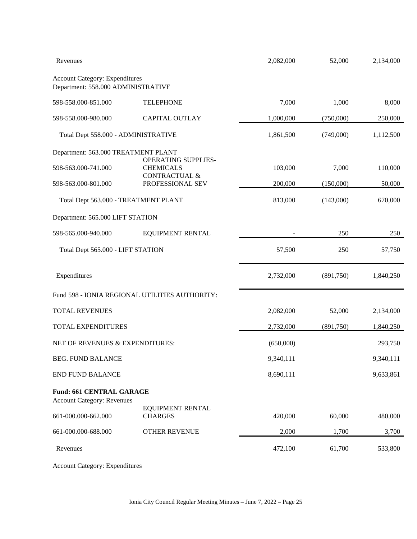| Revenues                                                                    |                                              | 2,082,000 | 52,000    | 2,134,000 |
|-----------------------------------------------------------------------------|----------------------------------------------|-----------|-----------|-----------|
| <b>Account Category: Expenditures</b><br>Department: 558.000 ADMINISTRATIVE |                                              |           |           |           |
| 598-558.000-851.000                                                         | <b>TELEPHONE</b>                             | 7,000     | 1,000     | 8,000     |
| 598-558.000-980.000                                                         | CAPITAL OUTLAY                               | 1,000,000 | (750,000) | 250,000   |
| Total Dept 558.000 - ADMINISTRATIVE                                         |                                              | 1,861,500 | (749,000) | 1,112,500 |
| Department: 563.000 TREATMENT PLANT                                         |                                              |           |           |           |
| 598-563.000-741.000                                                         | OPERATING SUPPLIES-<br><b>CHEMICALS</b>      | 103,000   | 7,000     | 110,000   |
| 598-563.000-801.000                                                         | <b>CONTRACTUAL &amp;</b><br>PROFESSIONAL SEV | 200,000   | (150,000) | 50,000    |
| Total Dept 563.000 - TREATMENT PLANT                                        |                                              | 813,000   | (143,000) | 670,000   |
| Department: 565.000 LIFT STATION                                            |                                              |           |           |           |
| 598-565.000-940.000                                                         | <b>EQUIPMENT RENTAL</b>                      |           | 250       | 250       |
| Total Dept 565.000 - LIFT STATION                                           |                                              | 57,500    | 250       | 57,750    |
| Expenditures                                                                |                                              | 2,732,000 | (891,750) | 1,840,250 |
| Fund 598 - IONIA REGIONAL UTILITIES AUTHORITY:                              |                                              |           |           |           |
| <b>TOTAL REVENUES</b>                                                       |                                              | 2,082,000 | 52,000    | 2,134,000 |
| TOTAL EXPENDITURES                                                          |                                              | 2,732,000 | (891,750) | 1,840,250 |
| NET OF REVENUES & EXPENDITURES:                                             |                                              | (650,000) |           | 293,750   |
| <b>BEG. FUND BALANCE</b><br><b>END FUND BALANCE</b>                         |                                              | 9,340,111 |           | 9,340,111 |
|                                                                             |                                              | 8,690,111 |           | 9,633,861 |
| <b>Fund: 661 CENTRAL GARAGE</b><br><b>Account Category: Revenues</b>        |                                              |           |           |           |
| 661-000.000-662.000                                                         | <b>EQUIPMENT RENTAL</b><br><b>CHARGES</b>    | 420,000   | 60,000    | 480,000   |
| 661-000.000-688.000                                                         | <b>OTHER REVENUE</b>                         | 2,000     | 1,700     | 3,700     |
| Revenues                                                                    |                                              | 472,100   | 61,700    | 533,800   |

Account Category: Expenditures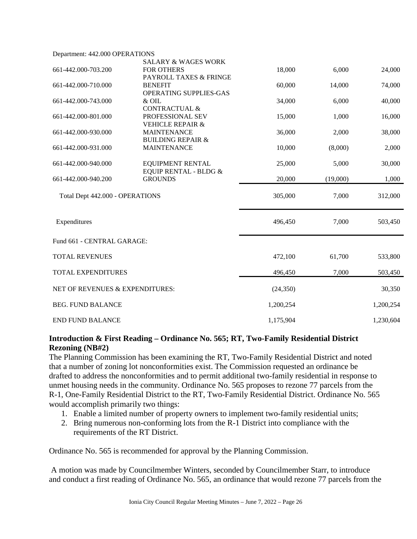| Department: 442.000 OPERATIONS  |                                  |           |          |           |
|---------------------------------|----------------------------------|-----------|----------|-----------|
|                                 | <b>SALARY &amp; WAGES WORK</b>   |           |          |           |
| 661-442.000-703.200             | <b>FOR OTHERS</b>                | 18,000    | 6,000    | 24,000    |
|                                 | PAYROLL TAXES & FRINGE           |           |          |           |
| 661-442.000-710.000             | <b>BENEFIT</b>                   | 60,000    | 14,000   | 74,000    |
|                                 | OPERATING SUPPLIES-GAS           |           |          |           |
| 661-442.000-743.000             | & OIL                            | 34,000    | 6,000    | 40,000    |
|                                 | <b>CONTRACTUAL &amp;</b>         |           |          |           |
| 661-442.000-801.000             | PROFESSIONAL SEV                 | 15,000    | 1,000    | 16,000    |
|                                 | <b>VEHICLE REPAIR &amp;</b>      |           |          |           |
| 661-442.000-930.000             | <b>MAINTENANCE</b>               | 36,000    | 2,000    | 38,000    |
|                                 | <b>BUILDING REPAIR &amp;</b>     |           |          |           |
| 661-442.000-931.000             | <b>MAINTENANCE</b>               | 10,000    | (8,000)  | 2,000     |
|                                 |                                  |           |          |           |
| 661-442.000-940.000             | <b>EQUIPMENT RENTAL</b>          | 25,000    | 5,000    | 30,000    |
|                                 | <b>EQUIP RENTAL - BLDG &amp;</b> |           |          |           |
| 661-442.000-940.200             | <b>GROUNDS</b>                   | 20,000    | (19,000) | 1,000     |
|                                 |                                  |           |          |           |
| Total Dept 442.000 - OPERATIONS |                                  | 305,000   | 7,000    | 312,000   |
|                                 |                                  |           |          |           |
|                                 |                                  |           |          |           |
|                                 |                                  |           |          |           |
| Expenditures                    |                                  | 496,450   | 7,000    | 503,450   |
|                                 |                                  |           |          |           |
| Fund 661 - CENTRAL GARAGE:      |                                  |           |          |           |
|                                 |                                  |           |          |           |
| <b>TOTAL REVENUES</b>           |                                  | 472,100   | 61,700   | 533,800   |
|                                 |                                  |           |          |           |
| TOTAL EXPENDITURES              |                                  | 496,450   | 7,000    | 503,450   |
|                                 |                                  |           |          |           |
| NET OF REVENUES & EXPENDITURES: |                                  | (24, 350) |          | 30,350    |
|                                 |                                  |           |          |           |
| <b>BEG. FUND BALANCE</b>        |                                  | 1,200,254 |          | 1,200,254 |
|                                 |                                  |           |          |           |
| <b>END FUND BALANCE</b>         |                                  | 1,175,904 |          | 1,230,604 |
|                                 |                                  |           |          |           |

# **Introduction & First Reading – Ordinance No. 565; RT, Two-Family Residential District Rezoning (NB#2)**

The Planning Commission has been examining the RT, Two-Family Residential District and noted that a number of zoning lot nonconformities exist. The Commission requested an ordinance be drafted to address the nonconformities and to permit additional two-family residential in response to unmet housing needs in the community. Ordinance No. 565 proposes to rezone 77 parcels from the R-1, One-Family Residential District to the RT, Two-Family Residential District. Ordinance No. 565 would accomplish primarily two things:

- 1. Enable a limited number of property owners to implement two-family residential units;
- 2. Bring numerous non-conforming lots from the R-1 District into compliance with the requirements of the RT District.

Ordinance No. 565 is recommended for approval by the Planning Commission.

 A motion was made by Councilmember Winters, seconded by Councilmember Starr, to introduce and conduct a first reading of Ordinance No. 565, an ordinance that would rezone 77 parcels from the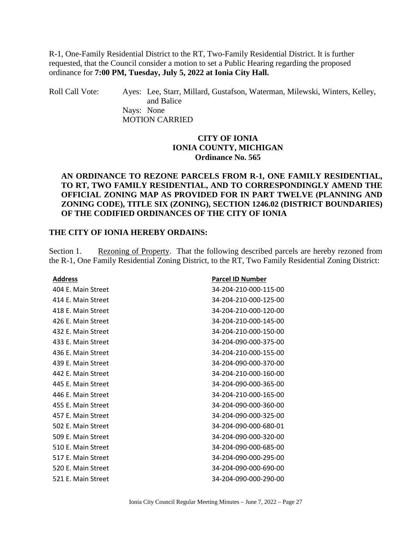R-1, One-Family Residential District to the RT, Two-Family Residential District. It is further requested, that the Council consider a motion to set a Public Hearing regarding the proposed ordinance for **7:00 PM, Tuesday, July 5, 2022 at Ionia City Hall.** 

Roll Call Vote: Ayes: Lee, Starr, Millard, Gustafson, Waterman, Milewski, Winters, Kelley, and Balice Nays: None MOTION CARRIED

### **CITY OF IONIA IONIA COUNTY, MICHIGAN Ordinance No. 565**

## **AN ORDINANCE TO REZONE PARCELS FROM R-1, ONE FAMILY RESIDENTIAL, TO RT, TWO FAMILY RESIDENTIAL, AND TO CORRESPONDINGLY AMEND THE OFFICIAL ZONING MAP AS PROVIDED FOR IN PART TWELVE (PLANNING AND ZONING CODE), TITLE SIX (ZONING), SECTION 1246.02 (DISTRICT BOUNDARIES) OF THE CODIFIED ORDINANCES OF THE CITY OF IONIA**

### **THE CITY OF IONIA HEREBY ORDAINS:**

Section 1. Rezoning of Property. That the following described parcels are hereby rezoned from the R-1, One Family Residential Zoning District, to the RT, Two Family Residential Zoning District:

| <b>Address</b>     | <b>Parcel ID Number</b> |
|--------------------|-------------------------|
| 404 E. Main Street | 34-204-210-000-115-00   |
| 414 E. Main Street | 34-204-210-000-125-00   |
| 418 E. Main Street | 34-204-210-000-120-00   |
| 426 E. Main Street | 34-204-210-000-145-00   |
| 432 E. Main Street | 34-204-210-000-150-00   |
| 433 E. Main Street | 34-204-090-000-375-00   |
| 436 E. Main Street | 34-204-210-000-155-00   |
| 439 E. Main Street | 34-204-090-000-370-00   |
| 442 E. Main Street | 34-204-210-000-160-00   |
| 445 E. Main Street | 34-204-090-000-365-00   |
| 446 E. Main Street | 34-204-210-000-165-00   |
| 455 E. Main Street | 34-204-090-000-360-00   |
| 457 E. Main Street | 34-204-090-000-325-00   |
| 502 E. Main Street | 34-204-090-000-680-01   |
| 509 E. Main Street | 34-204-090-000-320-00   |
| 510 E. Main Street | 34-204-090-000-685-00   |
| 517 E. Main Street | 34-204-090-000-295-00   |
| 520 E. Main Street | 34-204-090-000-690-00   |
| 521 E. Main Street | 34-204-090-000-290-00   |
|                    |                         |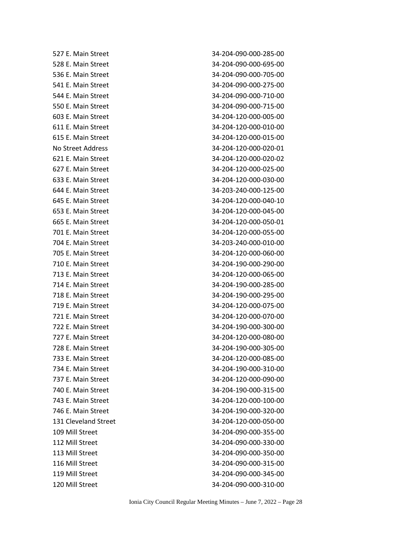| 527 E. Main Street   | 34-204-090-000-285-00 |
|----------------------|-----------------------|
| 528 E. Main Street   | 34-204-090-000-695-00 |
| 536 E. Main Street   | 34-204-090-000-705-00 |
| 541 E. Main Street   | 34-204-090-000-275-00 |
| 544 E. Main Street   | 34-204-090-000-710-00 |
| 550 E. Main Street   | 34-204-090-000-715-00 |
| 603 E. Main Street   | 34-204-120-000-005-00 |
| 611 E. Main Street   | 34-204-120-000-010-00 |
| 615 E. Main Street   | 34-204-120-000-015-00 |
| No Street Address    | 34-204-120-000-020-01 |
| 621 E. Main Street   | 34-204-120-000-020-02 |
| 627 E. Main Street   | 34-204-120-000-025-00 |
| 633 E. Main Street   | 34-204-120-000-030-00 |
| 644 E. Main Street   | 34-203-240-000-125-00 |
| 645 E. Main Street   | 34-204-120-000-040-10 |
| 653 E. Main Street   | 34-204-120-000-045-00 |
| 665 E. Main Street   | 34-204-120-000-050-01 |
| 701 E. Main Street   | 34-204-120-000-055-00 |
| 704 E. Main Street   | 34-203-240-000-010-00 |
| 705 E. Main Street   | 34-204-120-000-060-00 |
| 710 E. Main Street   | 34-204-190-000-290-00 |
| 713 E. Main Street   | 34-204-120-000-065-00 |
| 714 E. Main Street   | 34-204-190-000-285-00 |
| 718 E. Main Street   | 34-204-190-000-295-00 |
| 719 E. Main Street   | 34-204-120-000-075-00 |
| 721 E. Main Street   | 34-204-120-000-070-00 |
| 722 E. Main Street   | 34-204-190-000-300-00 |
| 727 E. Main Street   | 34-204-120-000-080-00 |
| 728 E. Main Street   | 34-204-190-000-305-00 |
| 733 E. Main Street   | 34-204-120-000-085-00 |
| 734 E. Main Street   | 34-204-190-000-310-00 |
| 737 E. Main Street   | 34-204-120-000-090-00 |
| 740 E. Main Street   | 34-204-190-000-315-00 |
| 743 E. Main Street   | 34-204-120-000-100-00 |
| 746 E. Main Street   | 34-204-190-000-320-00 |
| 131 Cleveland Street | 34-204-120-000-050-00 |
| 109 Mill Street      | 34-204-090-000-355-00 |
| 112 Mill Street      | 34-204-090-000-330-00 |
| 113 Mill Street      | 34-204-090-000-350-00 |
| 116 Mill Street      | 34-204-090-000-315-00 |
| 119 Mill Street      | 34-204-090-000-345-00 |
| 120 Mill Street      | 34-204-090-000-310-00 |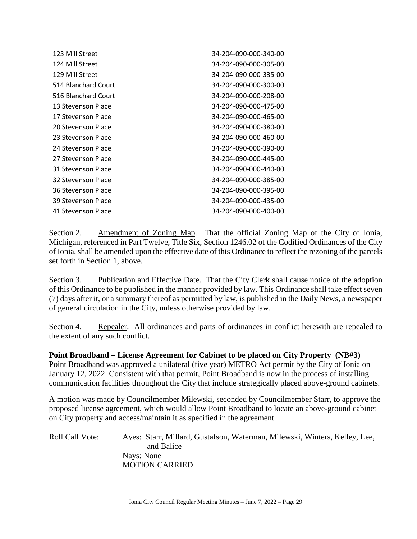| 123 Mill Street     | 34-204-090-000-340-00 |
|---------------------|-----------------------|
| 124 Mill Street     | 34-204-090-000-305-00 |
| 129 Mill Street     | 34-204-090-000-335-00 |
| 514 Blanchard Court | 34-204-090-000-300-00 |
| 516 Blanchard Court | 34-204-090-000-208-00 |
| 13 Stevenson Place  | 34-204-090-000-475-00 |
| 17 Stevenson Place  | 34-204-090-000-465-00 |
| 20 Stevenson Place  | 34-204-090-000-380-00 |
| 23 Stevenson Place  | 34-204-090-000-460-00 |
| 24 Stevenson Place  | 34-204-090-000-390-00 |
| 27 Stevenson Place  | 34-204-090-000-445-00 |
| 31 Stevenson Place  | 34-204-090-000-440-00 |
| 32 Stevenson Place  | 34-204-090-000-385-00 |
| 36 Stevenson Place  | 34-204-090-000-395-00 |
| 39 Stevenson Place  | 34-204-090-000-435-00 |
| 41 Stevenson Place  | 34-204-090-000-400-00 |

Section 2. Amendment of Zoning Map. That the official Zoning Map of the City of Ionia, Michigan, referenced in Part Twelve, Title Six, Section 1246.02 of the Codified Ordinances of the City of Ionia, shall be amended upon the effective date of this Ordinance to reflect the rezoning of the parcels set forth in Section 1, above.

Section 3. Publication and Effective Date. That the City Clerk shall cause notice of the adoption of this Ordinance to be published in the manner provided by law. This Ordinance shall take effect seven (7) days after it, or a summary thereof as permitted by law, is published in the Daily News, a newspaper of general circulation in the City, unless otherwise provided by law.

Section 4. Repealer. All ordinances and parts of ordinances in conflict herewith are repealed to the extent of any such conflict.

**Point Broadband – License Agreement for Cabinet to be placed on City Property (NB#3)**  Point Broadband was approved a unilateral (five year) METRO Act permit by the City of Ionia on January 12, 2022. Consistent with that permit, Point Broadband is now in the process of installing communication facilities throughout the City that include strategically placed above-ground cabinets.

A motion was made by Councilmember Milewski, seconded by Councilmember Starr, to approve the proposed license agreement, which would allow Point Broadband to locate an above-ground cabinet on City property and access/maintain it as specified in the agreement.

Roll Call Vote: Ayes: Starr, Millard, Gustafson, Waterman, Milewski, Winters, Kelley, Lee, and Balice Nays: None MOTION CARRIED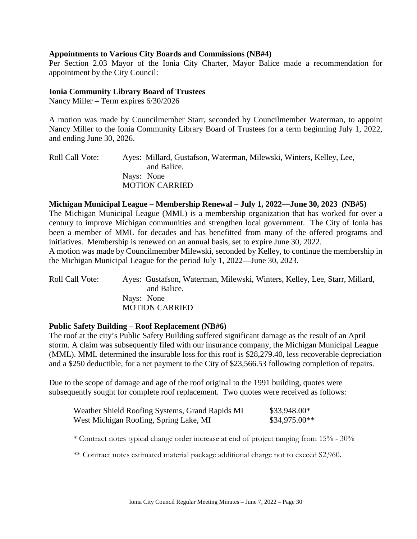### **Appointments to Various City Boards and Commissions (NB#4)**

Per Section 2.03 Mayor of the Ionia City Charter, Mayor Balice made a recommendation for appointment by the City Council:

### **Ionia Community Library Board of Trustees**

Nancy Miller – Term expires 6/30/2026

A motion was made by Councilmember Starr, seconded by Councilmember Waterman, to appoint Nancy Miller to the Ionia Community Library Board of Trustees for a term beginning July 1, 2022, and ending June 30, 2026.

Roll Call Vote: Ayes: Millard, Gustafson, Waterman, Milewski, Winters, Kelley, Lee, and Balice. Nays: None MOTION CARRIED

#### **Michigan Municipal League – Membership Renewal – July 1, 2022—June 30, 2023 (NB#5)**

The Michigan Municipal League (MML) is a membership organization that has worked for over a century to improve Michigan communities and strengthen local government. The City of Ionia has been a member of MML for decades and has benefitted from many of the offered programs and initiatives. Membership is renewed on an annual basis, set to expire June 30, 2022.

A motion was made by Councilmember Milewski, seconded by Kelley, to continue the membership in the Michigan Municipal League for the period July 1, 2022—June 30, 2023.

Roll Call Vote: Ayes: Gustafson, Waterman, Milewski, Winters, Kelley, Lee, Starr, Millard, and Balice. Nays: None MOTION CARRIED

### **Public Safety Building – Roof Replacement (NB#6)**

The roof at the city's Public Safety Building suffered significant damage as the result of an April storm. A claim was subsequently filed with our insurance company, the Michigan Municipal League (MML). MML determined the insurable loss for this roof is \$28,279.40, less recoverable depreciation and a \$250 deductible, for a net payment to the City of \$23,566.53 following completion of repairs.

Due to the scope of damage and age of the roof original to the 1991 building, quotes were subsequently sought for complete roof replacement. Two quotes were received as follows:

| Weather Shield Roofing Systems, Grand Rapids MI | \$33,948.00*   |
|-------------------------------------------------|----------------|
| West Michigan Roofing, Spring Lake, MI          | $$34,975.00**$ |

\* Contract notes typical change order increase at end of project ranging from 15% - 30%

\*\* Contract notes estimated material package additional charge not to exceed \$2,960.